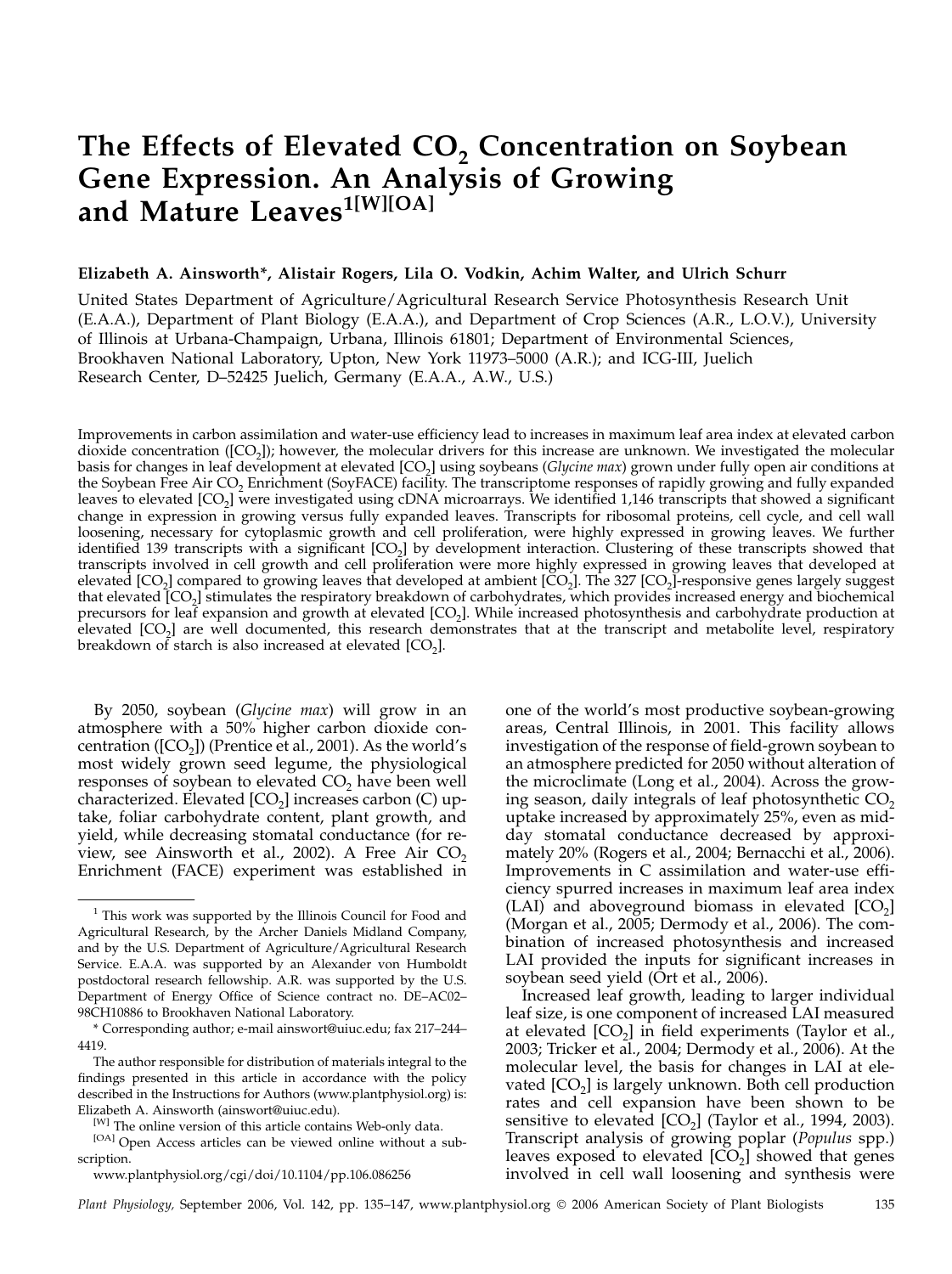# The Effects of Elevated  $CO<sub>2</sub>$  Concentration on Soybean Gene Expression. An Analysis of Growing and Mature Leaves<sup>1[W][OA]</sup>

## Elizabeth A. Ainsworth\*, Alistair Rogers, Lila O. Vodkin, Achim Walter, and Ulrich Schurr

United States Department of Agriculture/Agricultural Research Service Photosynthesis Research Unit (E.A.A.), Department of Plant Biology (E.A.A.), and Department of Crop Sciences (A.R., L.O.V.), University of Illinois at Urbana-Champaign, Urbana, Illinois 61801; Department of Environmental Sciences, Brookhaven National Laboratory, Upton, New York 11973–5000 (A.R.); and ICG-III, Juelich Research Center, D–52425 Juelich, Germany (E.A.A., A.W., U.S.)

Improvements in carbon assimilation and water-use efficiency lead to increases in maximum leaf area index at elevated carbon dioxide concentration  $([CO<sub>2</sub>])$ ; however, the molecular drivers for this increase are unknown. We investigated the molecular basis for changes in leaf development at elevated [CO<sub>2</sub>] using soybeans (Glycine max) grown under fully open air conditions at the Soybean Free Air CO<sub>2</sub> Enrichment (SoyFACE) facility. The transcriptome responses of rapidly growing and fully expanded leaves to elevated [CO<sub>2</sub>] were investigated using cDNA microarrays. We identified 1,146 transcripts that showed a significant change in expression in growing versus fully expanded leaves. Transcripts for ribosomal proteins, cell cycle, and cell wall loosening, necessary for cytoplasmic growth and cell proliferation, were highly expressed in growing leaves. We further identified 139 transcripts with a significant  $[CO<sub>2</sub>]$  by development interaction. Clustering of these transcripts showed that transcripts involved in cell growth and cell proliferation were more highly expressed in growing leaves that developed at elevated  $[CO<sub>2</sub>]$  compared to growing leaves that developed at ambient  $[CO<sub>2</sub>]$ . The 327  $[CO<sub>2</sub>]$ -responsive genes largely suggest that elevated [CO2] stimulates the respiratory breakdown of carbohydrates, which provides increased energy and biochemical precursors for leaf expansion and growth at elevated  $[CO<sub>2</sub>]$ . While increased photosynthesis and carbohydrate production at elevated [CO<sub>2</sub>] are well documented, this research demonstrates that at the transcript and metabolite level, respiratory breakdown of starch is also increased at elevated  $[CO<sub>2</sub>]$ .

By 2050, soybean (Glycine max) will grow in an atmosphere with a 50% higher carbon dioxide concentration ( $[CO<sub>2</sub>]$ ) (Prentice et al., 2001). As the world's most widely grown seed legume, the physiological responses of soybean to elevated  $CO<sub>2</sub>$  have been well characterized. Elevated  $[CO<sub>2</sub>]$  increases carbon (C) uptake, foliar carbohydrate content, plant growth, and yield, while decreasing stomatal conductance (for review, see Ainsworth et al., 2002). A Free Air  $CO<sub>2</sub>$ Enrichment (FACE) experiment was established in one of the world's most productive soybean-growing areas, Central Illinois, in 2001. This facility allows investigation of the response of field-grown soybean to an atmosphere predicted for 2050 without alteration of the microclimate (Long et al., 2004). Across the growing season, daily integrals of leaf photosynthetic  $CO<sub>2</sub>$ uptake increased by approximately 25%, even as midday stomatal conductance decreased by approximately 20% (Rogers et al., 2004; Bernacchi et al., 2006). Improvements in C assimilation and water-use efficiency spurred increases in maximum leaf area index  $(LAI)$  and aboveground biomass in elevated  $[CO<sub>2</sub>]$ (Morgan et al., 2005; Dermody et al., 2006). The combination of increased photosynthesis and increased LAI provided the inputs for significant increases in soybean seed yield (Ort et al., 2006).

Increased leaf growth, leading to larger individual leaf size, is one component of increased LAI measured at elevated  $[CO<sub>2</sub>]$  in field experiments (Taylor et al., 2003; Tricker et al., 2004; Dermody et al., 2006). At the molecular level, the basis for changes in LAI at elevated  $[CO<sub>2</sub>]$  is largely unknown. Both cell production rates and cell expansion have been shown to be sensitive to elevated  $[CO_2]$  (Taylor et al., 1994, 2003). Transcript analysis of growing poplar (Populus spp.) leaves exposed to elevated  $[CO<sub>2</sub>]$  showed that genes involved in cell wall loosening and synthesis were

Plant Physiology, September 2006, Vol. 142, pp. 135–147, www.plantphysiol.org © 2006 American Society of Plant Biologists 135

<sup>&</sup>lt;sup>1</sup> This work was supported by the Illinois Council for Food and Agricultural Research, by the Archer Daniels Midland Company, and by the U.S. Department of Agriculture/Agricultural Research Service. E.A.A. was supported by an Alexander von Humboldt postdoctoral research fellowship. A.R. was supported by the U.S. Department of Energy Office of Science contract no. DE–AC02– 98CH10886 to Brookhaven National Laboratory.

<sup>\*</sup> Corresponding author; e-mail ainswort@uiuc.edu; fax 217–244– 4419.

The author responsible for distribution of materials integral to the findings presented in this article in accordance with the policy described in the Instructions for Authors (www.plantphysiol.org) is: Elizabeth A. Ainsworth (ainswort@uiuc.edu).

<sup>[</sup>W] The online version of this article contains Web-only data.

<sup>[</sup>OA] Open Access articles can be viewed online without a subscription.

www.plantphysiol.org/cgi/doi/10.1104/pp.106.086256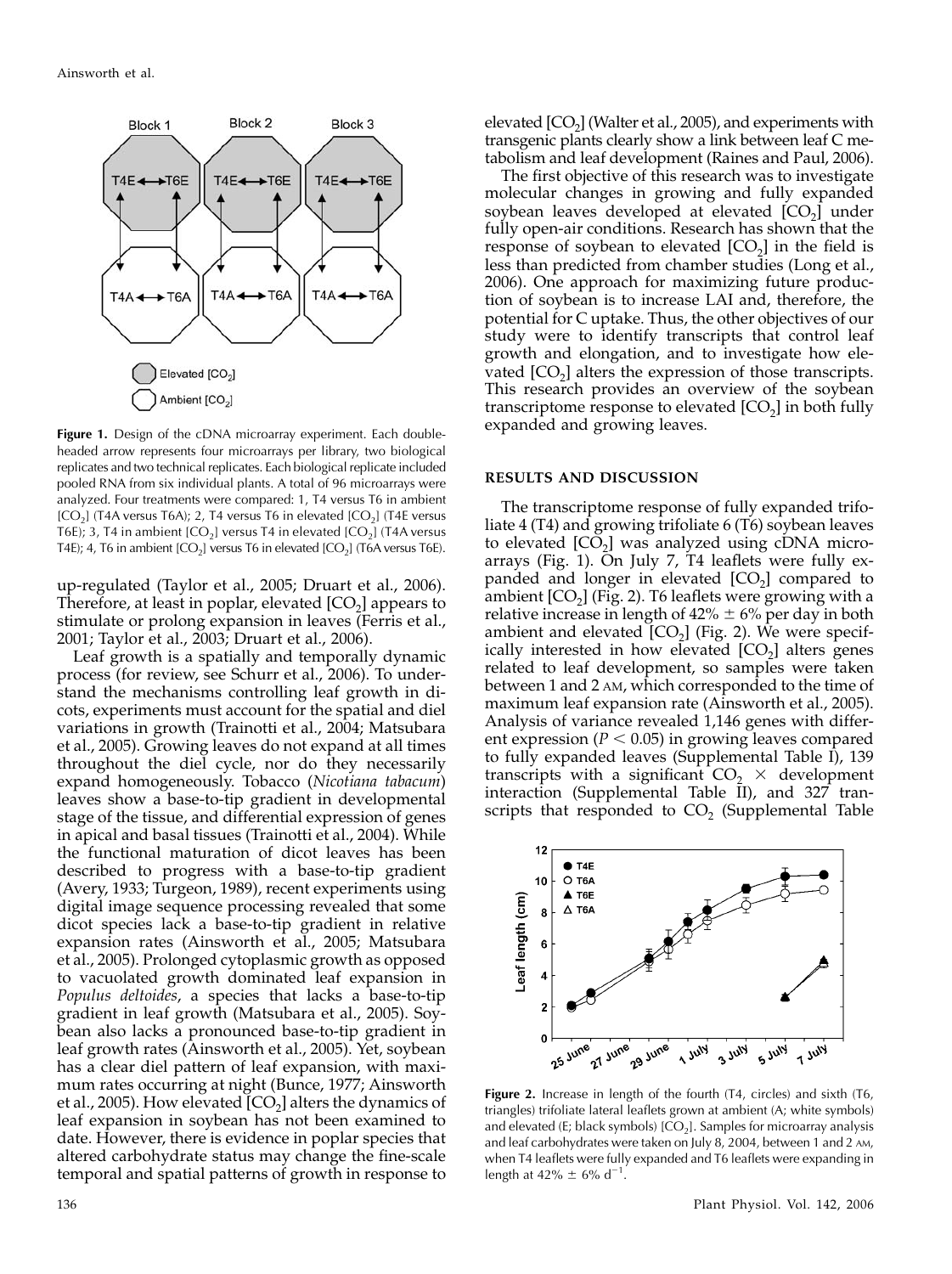

Figure 1. Design of the cDNA microarray experiment. Each doubleheaded arrow represents four microarrays per library, two biological replicates and two technical replicates. Each biological replicate included pooled RNA from six individual plants. A total of 96 microarrays were analyzed. Four treatments were compared: 1, T4 versus T6 in ambient  $[CO<sub>2</sub>]$  (T4A versus T6A); 2, T4 versus T6 in elevated  $[CO<sub>2</sub>]$  (T4E versus T6E); 3, T4 in ambient  $[CO_2]$  versus T4 in elevated  $[CO_2]$  (T4A versus T4E); 4, T6 in ambient  $[CO_2]$  versus T6 in elevated  $[CO_2]$  (T6A versus T6E).

up-regulated (Taylor et al., 2005; Druart et al., 2006). Therefore, at least in poplar, elevated  $[CO<sub>2</sub>]$  appears to stimulate or prolong expansion in leaves (Ferris et al., 2001; Taylor et al., 2003; Druart et al., 2006).

Leaf growth is a spatially and temporally dynamic process (for review, see Schurr et al., 2006). To understand the mechanisms controlling leaf growth in dicots, experiments must account for the spatial and diel variations in growth (Trainotti et al., 2004; Matsubara et al., 2005). Growing leaves do not expand at all times throughout the diel cycle, nor do they necessarily expand homogeneously. Tobacco (Nicotiana tabacum) leaves show a base-to-tip gradient in developmental stage of the tissue, and differential expression of genes in apical and basal tissues (Trainotti et al., 2004). While the functional maturation of dicot leaves has been described to progress with a base-to-tip gradient (Avery, 1933; Turgeon, 1989), recent experiments using digital image sequence processing revealed that some dicot species lack a base-to-tip gradient in relative expansion rates (Ainsworth et al., 2005; Matsubara et al., 2005). Prolonged cytoplasmic growth as opposed to vacuolated growth dominated leaf expansion in Populus deltoides, a species that lacks a base-to-tip gradient in leaf growth (Matsubara et al., 2005). Soybean also lacks a pronounced base-to-tip gradient in leaf growth rates (Ainsworth et al., 2005). Yet, soybean has a clear diel pattern of leaf expansion, with maximum rates occurring at night (Bunce, 1977; Ainsworth et al., 2005). How elevated  $[CO<sub>2</sub>]$  alters the dynamics of leaf expansion in soybean has not been examined to date. However, there is evidence in poplar species that altered carbohydrate status may change the fine-scale temporal and spatial patterns of growth in response to

The first objective of this research was to investigate molecular changes in growing and fully expanded soybean leaves developed at elevated  $[CO<sub>2</sub>]$  under fully open-air conditions. Research has shown that the response of soybean to elevated  $[CO<sub>2</sub>]$  in the field is less than predicted from chamber studies (Long et al., 2006). One approach for maximizing future production of soybean is to increase LAI and, therefore, the potential for C uptake. Thus, the other objectives of our study were to identify transcripts that control leaf growth and elongation, and to investigate how elevated  $[CO<sub>2</sub>]$  alters the expression of those transcripts. This research provides an overview of the soybean transcriptome response to elevated  $[CO<sub>2</sub>]$  in both fully expanded and growing leaves.

## RESULTS AND DISCUSSION

The transcriptome response of fully expanded trifoliate 4 (T4) and growing trifoliate 6 (T6) soybean leaves to elevated  $[CO<sub>2</sub>]$  was analyzed using cDNA microarrays (Fig. 1). On July 7, T4 leaflets were fully expanded and longer in elevated  $[CO<sub>2</sub>]$  compared to ambient  $[CO_2]$  (Fig. 2). T6 leaflets were growing with a relative increase in length of  $42\% \pm 6\%$  per day in both ambient and elevated  $[CO<sub>2</sub>]$  (Fig. 2). We were specifically interested in how elevated  $[CO<sub>2</sub>]$  alters genes related to leaf development, so samples were taken between 1 and 2 AM, which corresponded to the time of maximum leaf expansion rate (Ainsworth et al., 2005). Analysis of variance revealed 1,146 genes with different expression ( $P < 0.05$ ) in growing leaves compared to fully expanded leaves (Supplemental Table I), 139 transcripts with a significant  $CO<sub>2</sub> \times$  development interaction (Supplemental Table II), and 327 transcripts that responded to  $CO<sub>2</sub>$  (Supplemental Table



Figure 2. Increase in length of the fourth (T4, circles) and sixth (T6, triangles) trifoliate lateral leaflets grown at ambient (A; white symbols) and elevated (E; black symbols)  $[CO_2]$ . Samples for microarray analysis and leaf carbohydrates were taken on July 8, 2004, between 1 and 2 AM, when T4 leaflets were fully expanded and T6 leaflets were expanding in length at 42%  $\pm$  6% d<sup>-1</sup>.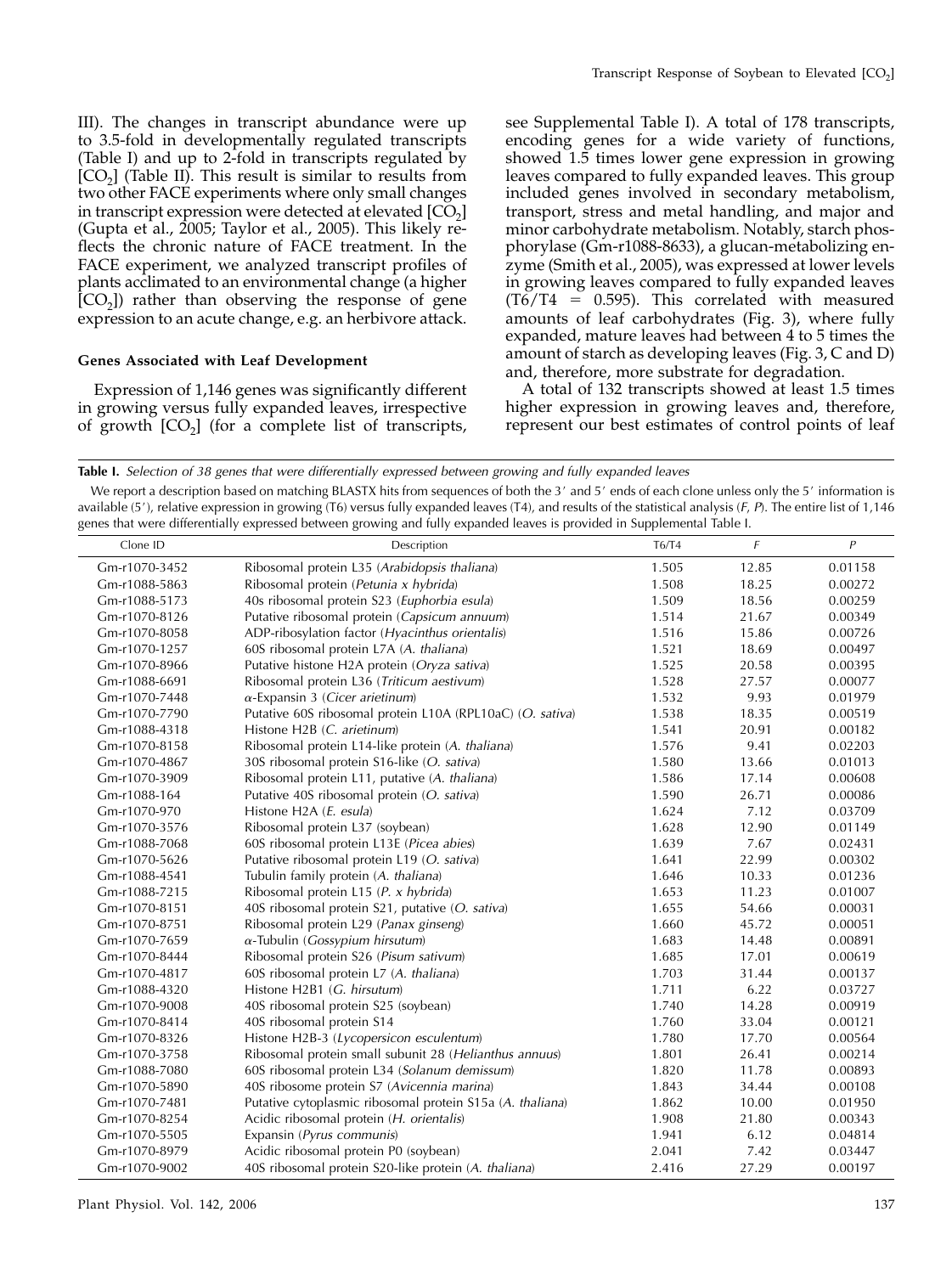III). The changes in transcript abundance were up to 3.5-fold in developmentally regulated transcripts (Table I) and up to 2-fold in transcripts regulated by  $[CO<sub>2</sub>]$  (Table II). This result is similar to results from two other FACE experiments where only small changes in transcript expression were detected at elevated  $[CO<sub>2</sub>]$ (Gupta et al., 2005; Taylor et al., 2005). This likely reflects the chronic nature of FACE treatment. In the FACE experiment, we analyzed transcript profiles of plants acclimated to an environmental change (a higher  $[CO<sub>2</sub>]$ ) rather than observing the response of gene expression to an acute change, e.g. an herbivore attack.

# Genes Associated with Leaf Development

Expression of 1,146 genes was significantly different in growing versus fully expanded leaves, irrespective of growth  $[CO<sub>2</sub>]$  (for a complete list of transcripts, see Supplemental Table I). A total of 178 transcripts, encoding genes for a wide variety of functions, showed 1.5 times lower gene expression in growing leaves compared to fully expanded leaves. This group included genes involved in secondary metabolism, transport, stress and metal handling, and major and minor carbohydrate metabolism. Notably, starch phosphorylase (Gm-r1088-8633), a glucan-metabolizing enzyme (Smith et al., 2005), was expressed at lower levels in growing leaves compared to fully expanded leaves  $(T6/T4 = 0.595)$ . This correlated with measured amounts of leaf carbohydrates (Fig. 3), where fully expanded, mature leaves had between 4 to 5 times the amount of starch as developing leaves (Fig. 3, C and D) and, therefore, more substrate for degradation.

A total of 132 transcripts showed at least 1.5 times higher expression in growing leaves and, therefore, represent our best estimates of control points of leaf

We report a description based on matching BLASTX hits from sequences of both the 3' and 5' ends of each clone unless only the 5' information is available (5'), relative expression in growing (T6) versus fully expanded leaves (T4), and results of the statistical analysis (F, P). The entire list of 1,146 genes that were differentially expressed between growing and fully expanded leaves is provided in Supplemental Table I.

| Clone ID      | Description                                               | T6/T4 | F     | $\boldsymbol{P}$ |
|---------------|-----------------------------------------------------------|-------|-------|------------------|
| Gm-r1070-3452 | Ribosomal protein L35 (Arabidopsis thaliana)              | 1.505 | 12.85 | 0.01158          |
| Gm-r1088-5863 | Ribosomal protein (Petunia x hybrida)                     | 1.508 | 18.25 | 0.00272          |
| Gm-r1088-5173 | 40s ribosomal protein S23 (Euphorbia esula)               | 1.509 | 18.56 | 0.00259          |
| Gm-r1070-8126 | Putative ribosomal protein (Capsicum annuum)              | 1.514 | 21.67 | 0.00349          |
| Gm-r1070-8058 | ADP-ribosylation factor (Hyacinthus orientalis)           | 1.516 | 15.86 | 0.00726          |
| Gm-r1070-1257 | 60S ribosomal protein L7A (A. thaliana)                   | 1.521 | 18.69 | 0.00497          |
| Gm-r1070-8966 | Putative histone H2A protein (Oryza sativa)               | 1.525 | 20.58 | 0.00395          |
| Gm-r1088-6691 | Ribosomal protein L36 (Triticum aestivum)                 | 1.528 | 27.57 | 0.00077          |
| Gm-r1070-7448 | $\alpha$ -Expansin 3 (Cicer arietinum)                    | 1.532 | 9.93  | 0.01979          |
| Gm-r1070-7790 | Putative 60S ribosomal protein L10A (RPL10aC) (O. sativa) | 1.538 | 18.35 | 0.00519          |
| Gm-r1088-4318 | Histone H2B (C. arietinum)                                | 1.541 | 20.91 | 0.00182          |
| Gm-r1070-8158 | Ribosomal protein L14-like protein (A. thaliana)          | 1.576 | 9.41  | 0.02203          |
| Gm-r1070-4867 | 30S ribosomal protein S16-like (O. sativa)                | 1.580 | 13.66 | 0.01013          |
| Gm-r1070-3909 | Ribosomal protein L11, putative (A. thaliana)             | 1.586 | 17.14 | 0.00608          |
| Gm-r1088-164  | Putative 40S ribosomal protein (O. sativa)                | 1.590 | 26.71 | 0.00086          |
| Gm-r1070-970  | Histone H2A (E. esula)                                    | 1.624 | 7.12  | 0.03709          |
| Gm-r1070-3576 | Ribosomal protein L37 (soybean)                           | 1.628 | 12.90 | 0.01149          |
| Gm-r1088-7068 | 60S ribosomal protein L13E (Picea abies)                  | 1.639 | 7.67  | 0.02431          |
| Gm-r1070-5626 | Putative ribosomal protein L19 (O. sativa)                | 1.641 | 22.99 | 0.00302          |
| Gm-r1088-4541 | Tubulin family protein (A. thaliana)                      | 1.646 | 10.33 | 0.01236          |
| Gm-r1088-7215 | Ribosomal protein L15 (P. x hybrida)                      | 1.653 | 11.23 | 0.01007          |
| Gm-r1070-8151 | 40S ribosomal protein S21, putative (O. sativa)           | 1.655 | 54.66 | 0.00031          |
| Gm-r1070-8751 | Ribosomal protein L29 (Panax ginseng)                     | 1.660 | 45.72 | 0.00051          |
| Gm-r1070-7659 | $\alpha$ -Tubulin (Gossypium hirsutum)                    | 1.683 | 14.48 | 0.00891          |
| Gm-r1070-8444 | Ribosomal protein S26 (Pisum sativum)                     | 1.685 | 17.01 | 0.00619          |
| Gm-r1070-4817 | 60S ribosomal protein L7 (A. thaliana)                    | 1.703 | 31.44 | 0.00137          |
| Gm-r1088-4320 | Histone H2B1 (G. hirsutum)                                | 1.711 | 6.22  | 0.03727          |
| Gm-r1070-9008 | 40S ribosomal protein S25 (soybean)                       | 1.740 | 14.28 | 0.00919          |
| Gm-r1070-8414 | 40S ribosomal protein S14                                 | 1.760 | 33.04 | 0.00121          |
| Gm-r1070-8326 | Histone H2B-3 (Lycopersicon esculentum)                   | 1.780 | 17.70 | 0.00564          |
| Gm-r1070-3758 | Ribosomal protein small subunit 28 (Helianthus annuus)    | 1.801 | 26.41 | 0.00214          |
| Gm-r1088-7080 | 60S ribosomal protein L34 (Solanum demissum)              | 1.820 | 11.78 | 0.00893          |
| Gm-r1070-5890 | 40S ribosome protein S7 (Avicennia marina)                | 1.843 | 34.44 | 0.00108          |
| Gm-r1070-7481 | Putative cytoplasmic ribosomal protein S15a (A. thaliana) | 1.862 | 10.00 | 0.01950          |
| Gm-r1070-8254 | Acidic ribosomal protein (H. orientalis)                  | 1.908 | 21.80 | 0.00343          |
| Gm-r1070-5505 | Expansin (Pyrus communis)                                 | 1.941 | 6.12  | 0.04814          |
| Gm-r1070-8979 | Acidic ribosomal protein P0 (soybean)                     | 2.041 | 7.42  | 0.03447          |
| Gm-r1070-9002 | 40S ribosomal protein S20-like protein (A. thaliana)      | 2.416 | 27.29 | 0.00197          |

Table I. Selection of 38 genes that were differentially expressed between growing and fully expanded leaves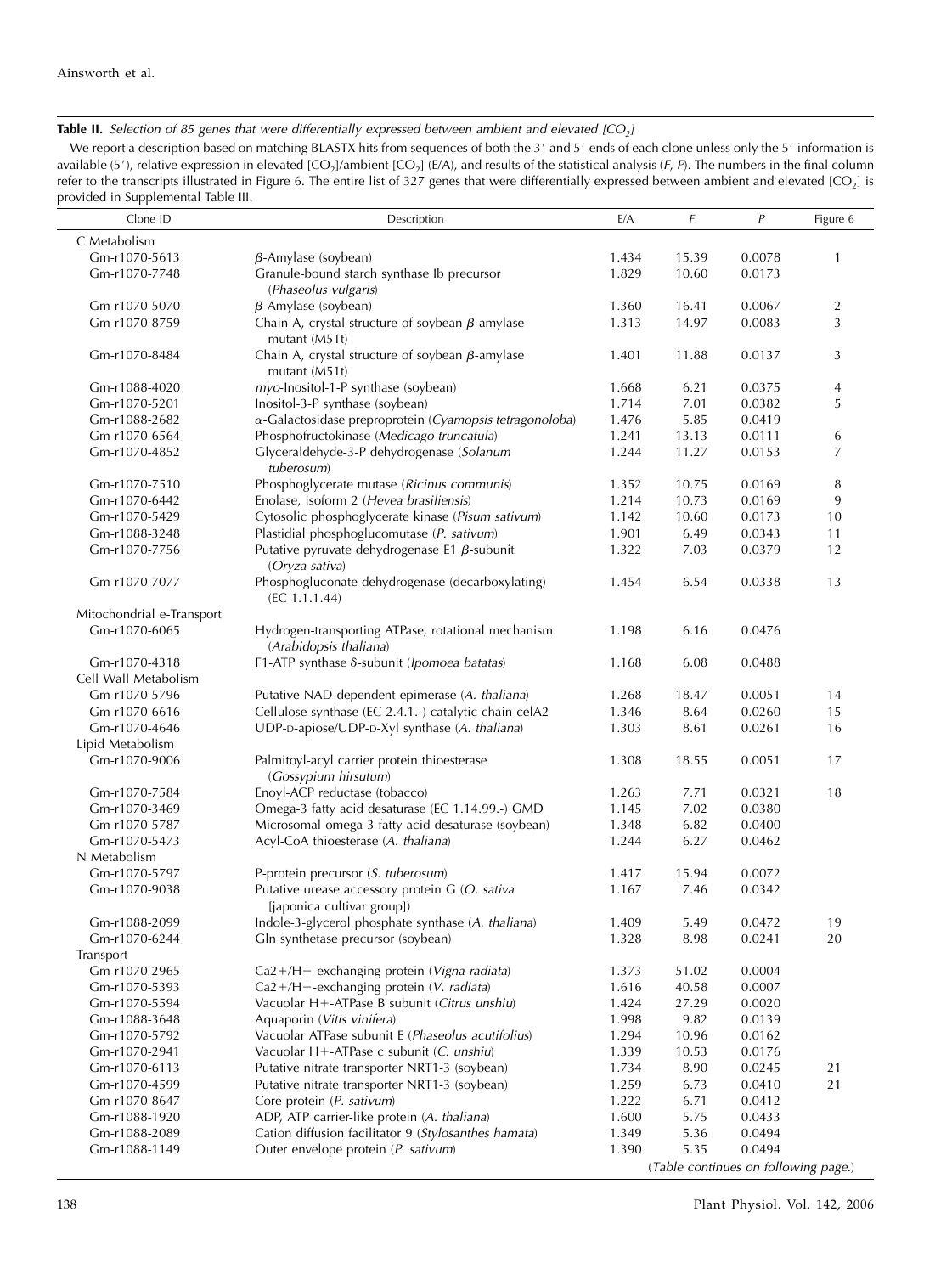Table II. Selection of 85 genes that were differentially expressed between ambient and elevated  $[CO<sub>2</sub>]$ 

We report a description based on matching BLASTX hits from sequences of both the 3' and 5' ends of each clone unless only the 5' information is available (5'), relative expression in elevated  $[CO_2]/\{E/A\}$ , and results of the statistical analysis (F, P). The numbers in the final column refer to the transcripts illustrated in Figure 6. The entire list of 327 genes that were differentially expressed between ambient and elevated [CO<sub>2</sub>] is provided in Supplemental Table III.

| Clone ID                       | Description                                                                             | E/A            | F              | P                                    | Figure 6            |
|--------------------------------|-----------------------------------------------------------------------------------------|----------------|----------------|--------------------------------------|---------------------|
| C Metabolism                   |                                                                                         |                |                |                                      |                     |
| Gm-r1070-5613                  | $\beta$ -Amylase (soybean)                                                              | 1.434          | 15.39          | 0.0078                               | 1                   |
| Gm-r1070-7748                  | Granule-bound starch synthase Ib precursor                                              | 1.829          | 10.60          | 0.0173                               |                     |
|                                | (Phaseolus vulgaris)                                                                    |                |                |                                      |                     |
| Gm-r1070-5070                  | $\beta$ -Amylase (soybean)                                                              | 1.360          | 16.41          | 0.0067                               | $\overline{2}$      |
| Gm-r1070-8759                  | Chain A, crystal structure of soybean $\beta$ -amylase                                  | 1.313          | 14.97          | 0.0083                               | 3                   |
|                                | mutant (M51t)                                                                           |                |                |                                      |                     |
| Gm-r1070-8484                  | Chain A, crystal structure of soybean $\beta$ -amylase                                  | 1.401          | 11.88          | 0.0137                               | 3                   |
|                                | mutant (M51t)                                                                           |                |                |                                      |                     |
| Gm-r1088-4020                  | myo-Inositol-1-P synthase (soybean)<br>Inositol-3-P synthase (soybean)                  | 1.668<br>1.714 | 6.21           | 0.0375<br>0.0382                     | $\overline{4}$<br>5 |
| Gm-r1070-5201<br>Gm-r1088-2682 | $\alpha$ -Galactosidase preproprotein (Cyamopsis tetragonoloba)                         | 1.476          | 7.01<br>5.85   | 0.0419                               |                     |
| Gm-r1070-6564                  | Phosphofructokinase (Medicago truncatula)                                               | 1.241          | 13.13          | 0.0111                               | 6                   |
| Gm-r1070-4852                  | Glyceraldehyde-3-P dehydrogenase (Solanum                                               | 1.244          | 11.27          | 0.0153                               | 7                   |
|                                | tuberosum)                                                                              |                |                |                                      |                     |
| Gm-r1070-7510                  | Phosphoglycerate mutase (Ricinus communis)                                              | 1.352          | 10.75          | 0.0169                               | 8                   |
| Gm-r1070-6442                  | Enolase, isoform 2 (Hevea brasiliensis)                                                 | 1.214          | 10.73          | 0.0169                               | 9                   |
| Gm-r1070-5429                  | Cytosolic phosphoglycerate kinase (Pisum sativum)                                       | 1.142          | 10.60          | 0.0173                               | 10                  |
| Gm-r1088-3248                  | Plastidial phosphoglucomutase (P. sativum)                                              | 1.901          | 6.49           | 0.0343                               | 11                  |
| Gm-r1070-7756                  | Putative pyruvate dehydrogenase E1 $\beta$ -subunit                                     | 1.322          | 7.03           | 0.0379                               | 12                  |
|                                | (Oryza sativa)                                                                          |                |                |                                      |                     |
| Gm-r1070-7077                  | Phosphogluconate dehydrogenase (decarboxylating)                                        | 1.454          | 6.54           | 0.0338                               | 13                  |
| Mitochondrial e-Transport      | (EC 1.1.1.44)                                                                           |                |                |                                      |                     |
| Gm-r1070-6065                  | Hydrogen-transporting ATPase, rotational mechanism                                      | 1.198          | 6.16           | 0.0476                               |                     |
|                                | (Arabidopsis thaliana)                                                                  |                |                |                                      |                     |
| Gm-r1070-4318                  | F1-ATP synthase δ-subunit (Ipomoea batatas)                                             | 1.168          | 6.08           | 0.0488                               |                     |
| Cell Wall Metabolism           |                                                                                         |                |                |                                      |                     |
| Gm-r1070-5796                  | Putative NAD-dependent epimerase (A. thaliana)                                          | 1.268          | 18.47          | 0.0051                               | 14                  |
| Gm-r1070-6616                  | Cellulose synthase (EC 2.4.1.-) catalytic chain celA2                                   | 1.346          | 8.64           | 0.0260                               | 15                  |
| Gm-r1070-4646                  | UDP-D-apiose/UDP-D-Xyl synthase (A. thaliana)                                           | 1.303          | 8.61           | 0.0261                               | 16                  |
| Lipid Metabolism               |                                                                                         |                |                |                                      |                     |
| Gm-r1070-9006                  | Palmitoyl-acyl carrier protein thioesterase                                             | 1.308          | 18.55          | 0.0051                               | 17                  |
| Gm-r1070-7584                  | (Gossypium hirsutum)<br>Enoyl-ACP reductase (tobacco)                                   | 1.263          | 7.71           | 0.0321                               | 18                  |
| Gm-r1070-3469                  | Omega-3 fatty acid desaturase (EC 1.14.99.-) GMD                                        | 1.145          | 7.02           | 0.0380                               |                     |
| Gm-r1070-5787                  | Microsomal omega-3 fatty acid desaturase (soybean)                                      | 1.348          | 6.82           | 0.0400                               |                     |
| Gm-r1070-5473                  | Acyl-CoA thioesterase (A. thaliana)                                                     | 1.244          | 6.27           | 0.0462                               |                     |
| N Metabolism                   |                                                                                         |                |                |                                      |                     |
| Gm-r1070-5797                  | P-protein precursor (S. tuberosum)                                                      | 1.417          | 15.94          | 0.0072                               |                     |
| Gm-r1070-9038                  | Putative urease accessory protein G (O. sativa                                          | 1.167          | 7.46           | 0.0342                               |                     |
|                                | [japonica cultivar group])                                                              |                |                |                                      |                     |
| Gm-r1088-2099                  | Indole-3-glycerol phosphate synthase (A. thaliana)                                      | 1.409          | 5.49           | 0.0472                               | 19                  |
| Gm-r1070-6244                  | Gln synthetase precursor (soybean)                                                      | 1.328          | 8.98           | 0.0241                               | 20                  |
| Transport                      |                                                                                         |                |                |                                      |                     |
| Gm-r1070-2965                  | Ca2+/H+-exchanging protein (Vigna radiata)                                              | 1.373          | 51.02          | 0.0004                               |                     |
| Gm-r1070-5393                  | Ca2+/H+-exchanging protein (V. radiata)<br>Vacuolar H+-ATPase B subunit (Citrus unshiu) | 1.616<br>1.424 | 40.58<br>27.29 | 0.0007                               |                     |
| Gm-r1070-5594<br>Gm-r1088-3648 | Aquaporin (Vitis vinifera)                                                              | 1.998          | 9.82           | 0.0020<br>0.0139                     |                     |
| Gm-r1070-5792                  | Vacuolar ATPase subunit E (Phaseolus acutifolius)                                       | 1.294          | 10.96          | 0.0162                               |                     |
| Gm-r1070-2941                  | Vacuolar H+-ATPase c subunit (C. unshiu)                                                | 1.339          | 10.53          | 0.0176                               |                     |
| Gm-r1070-6113                  | Putative nitrate transporter NRT1-3 (soybean)                                           | 1.734          | 8.90           | 0.0245                               | 21                  |
| Gm-r1070-4599                  | Putative nitrate transporter NRT1-3 (soybean)                                           | 1.259          | 6.73           | 0.0410                               | 21                  |
| Gm-r1070-8647                  | Core protein (P. sativum)                                                               | 1.222          | 6.71           | 0.0412                               |                     |
| Gm-r1088-1920                  | ADP, ATP carrier-like protein (A. thaliana)                                             | 1.600          | 5.75           | 0.0433                               |                     |
| Gm-r1088-2089                  | Cation diffusion facilitator 9 (Stylosanthes hamata)                                    | 1.349          | 5.36           | 0.0494                               |                     |
| Gm-r1088-1149                  | Outer envelope protein (P. sativum)                                                     | 1.390          | 5.35           | 0.0494                               |                     |
|                                |                                                                                         |                |                | (Table continues on following page.) |                     |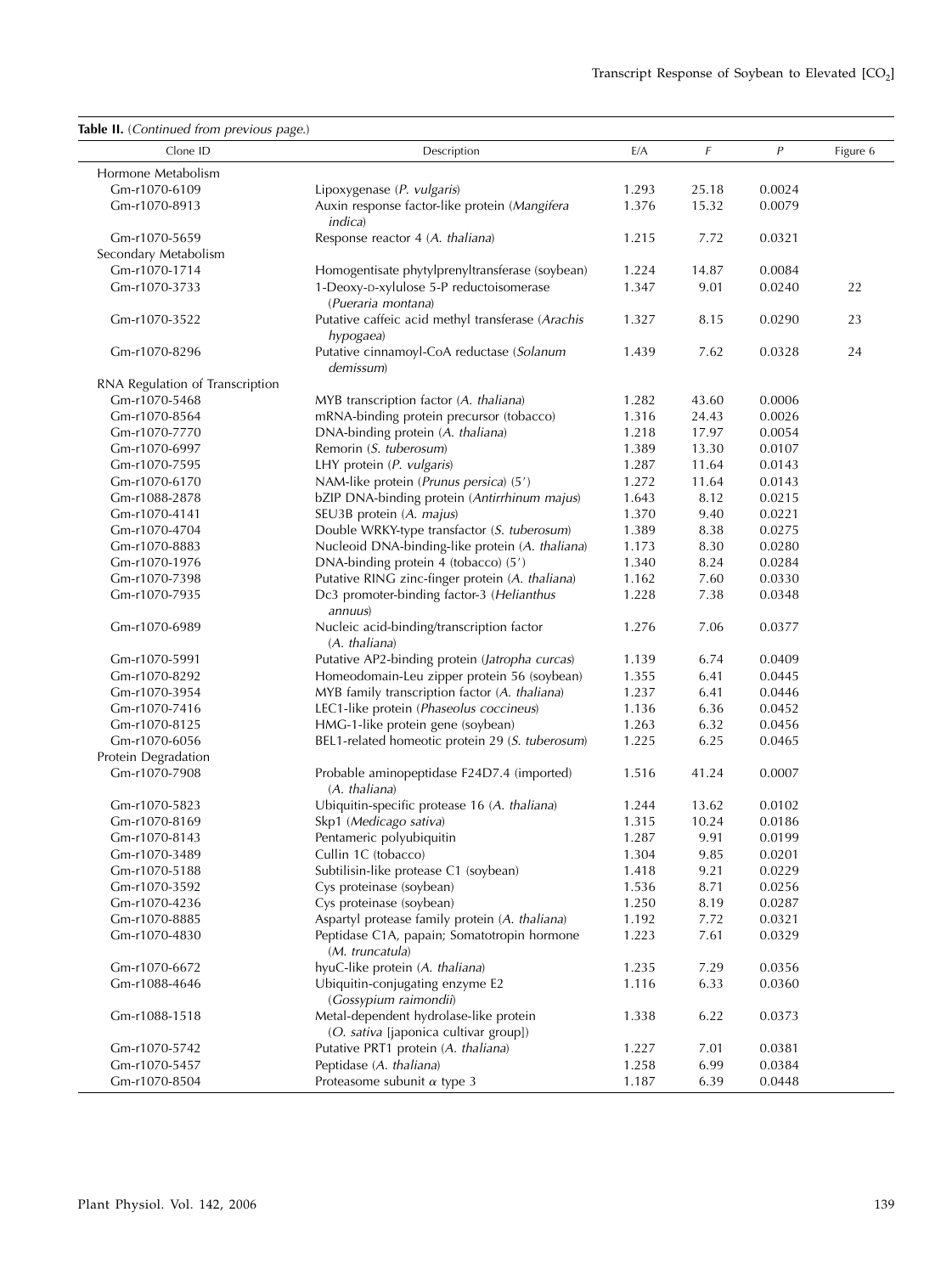| Table II. (Continued from previous page.) |                                                                                 |       |       |                |          |
|-------------------------------------------|---------------------------------------------------------------------------------|-------|-------|----------------|----------|
| Clone ID                                  | Description                                                                     | E/A   | F     | $\overline{P}$ | Figure 6 |
| Hormone Metabolism                        |                                                                                 |       |       |                |          |
| Gm-r1070-6109                             | Lipoxygenase (P. vulgaris)                                                      | 1.293 | 25.18 | 0.0024         |          |
| Gm-r1070-8913                             | Auxin response factor-like protein (Mangifera<br><i>indica</i> )                | 1.376 | 15.32 | 0.0079         |          |
| Gm-r1070-5659                             | Response reactor 4 (A. thaliana)                                                | 1.215 | 7.72  | 0.0321         |          |
| Secondary Metabolism                      |                                                                                 |       |       |                |          |
| Gm-r1070-1714                             | Homogentisate phytylprenyltransferase (soybean)                                 | 1.224 | 14.87 | 0.0084         |          |
| Gm-r1070-3733                             | 1-Deoxy-D-xylulose 5-P reductoisomerase<br>(Pueraria montana)                   | 1.347 | 9.01  | 0.0240         | 22       |
| Gm-r1070-3522                             | Putative caffeic acid methyl transferase (Arachis<br>hypogaea)                  | 1.327 | 8.15  | 0.0290         | 23       |
| Gm-r1070-8296                             | Putative cinnamoyl-CoA reductase (Solanum<br>demissum)                          | 1.439 | 7.62  | 0.0328         | 24       |
| RNA Regulation of Transcription           |                                                                                 |       |       |                |          |
| Gm-r1070-5468                             | MYB transcription factor (A. thaliana)                                          | 1.282 | 43.60 | 0.0006         |          |
| Gm-r1070-8564                             | mRNA-binding protein precursor (tobacco)                                        | 1.316 | 24.43 | 0.0026         |          |
| Gm-r1070-7770                             | DNA-binding protein (A. thaliana)                                               | 1.218 | 17.97 | 0.0054         |          |
| Gm-r1070-6997                             | Remorin (S. tuberosum)                                                          | 1.389 | 13.30 | 0.0107         |          |
| Gm-r1070-7595                             | LHY protein (P. vulgaris)                                                       | 1.287 | 11.64 | 0.0143         |          |
| Gm-r1070-6170                             | NAM-like protein (Prunus persica) (5')                                          | 1.272 | 11.64 | 0.0143         |          |
| Gm-r1088-2878                             | bZIP DNA-binding protein (Antirrhinum majus)                                    | 1.643 | 8.12  | 0.0215         |          |
| Gm-r1070-4141                             | SEU3B protein (A. majus)                                                        | 1.370 | 9.40  | 0.0221         |          |
| Gm-r1070-4704                             | Double WRKY-type transfactor (S. tuberosum)                                     | 1.389 | 8.38  | 0.0275         |          |
| Gm-r1070-8883                             | Nucleoid DNA-binding-like protein (A. thaliana)                                 | 1.173 | 8.30  | 0.0280         |          |
| Gm-r1070-1976                             | DNA-binding protein 4 (tobacco) (5')                                            | 1.340 | 8.24  | 0.0284         |          |
| Gm-r1070-7398                             | Putative RING zinc-finger protein (A. thaliana)                                 | 1.162 | 7.60  | 0.0330         |          |
| Gm-r1070-7935                             | Dc3 promoter-binding factor-3 (Helianthus<br>annuus)                            | 1.228 | 7.38  | 0.0348         |          |
| Gm-r1070-6989                             | Nucleic acid-binding/transcription factor<br>(A. thaliana)                      | 1.276 | 7.06  | 0.0377         |          |
| Gm-r1070-5991                             | Putative AP2-binding protein (Jatropha curcas)                                  | 1.139 | 6.74  | 0.0409         |          |
| Gm-r1070-8292                             | Homeodomain-Leu zipper protein 56 (soybean)                                     | 1.355 | 6.41  | 0.0445         |          |
| Gm-r1070-3954                             | MYB family transcription factor (A. thaliana)                                   | 1.237 | 6.41  | 0.0446         |          |
| Gm-r1070-7416                             | LEC1-like protein (Phaseolus coccineus)                                         | 1.136 | 6.36  | 0.0452         |          |
| Gm-r1070-8125                             | HMG-1-like protein gene (soybean)                                               | 1.263 | 6.32  | 0.0456         |          |
| Gm-r1070-6056                             | BEL1-related homeotic protein 29 (S. tuberosum)                                 | 1.225 | 6.25  | 0.0465         |          |
| Protein Degradation                       |                                                                                 |       |       |                |          |
| Gm-r1070-7908                             | Probable aminopeptidase F24D7.4 (imported)<br>(A. thaliana)                     | 1.516 | 41.24 | 0.0007         |          |
| Gm-r1070-5823                             | Ubiquitin-specific protease 16 (A. thaliana)                                    | 1.244 | 13.62 | 0.0102         |          |
| Gm-r1070-8169                             | Skp1 (Medicago sativa)                                                          | 1.315 | 10.24 | 0.0186         |          |
| Gm-r1070-8143                             | Pentameric polyubiquitin                                                        | 1.287 | 9.91  | 0.0199         |          |
| Gm-r1070-3489                             | Cullin 1C (tobacco)                                                             | 1.304 | 9.85  | 0.0201         |          |
| Gm-r1070-5188                             | Subtilisin-like protease C1 (soybean)                                           | 1.418 | 9.21  | 0.0229         |          |
| Gm-r1070-3592                             | Cys proteinase (soybean)                                                        | 1.536 | 8.71  | 0.0256         |          |
| Gm-r1070-4236                             | Cys proteinase (soybean)                                                        | 1.250 | 8.19  | 0.0287         |          |
| Gm-r1070-8885                             | Aspartyl protease family protein (A. thaliana)                                  | 1.192 | 7.72  | 0.0321         |          |
| Gm-r1070-4830                             | Peptidase C1A, papain; Somatotropin hormone<br>(M. truncatula)                  | 1.223 | 7.61  | 0.0329         |          |
| Gm-r1070-6672                             | hyuC-like protein (A. thaliana)                                                 | 1.235 | 7.29  | 0.0356         |          |
| Gm-r1088-4646                             | Ubiquitin-conjugating enzyme E2<br>(Gossypium raimondii)                        | 1.116 | 6.33  | 0.0360         |          |
| Gm-r1088-1518                             | Metal-dependent hydrolase-like protein<br>(O. sativa [japonica cultivar group]) | 1.338 | 6.22  | 0.0373         |          |
| Gm-r1070-5742                             | Putative PRT1 protein (A. thaliana)                                             | 1.227 | 7.01  | 0.0381         |          |
| Gm-r1070-5457                             | Peptidase (A. thaliana)                                                         | 1.258 | 6.99  | 0.0384         |          |
| Gm-r1070-8504                             | Proteasome subunit $\alpha$ type 3                                              | 1.187 | 6.39  | 0.0448         |          |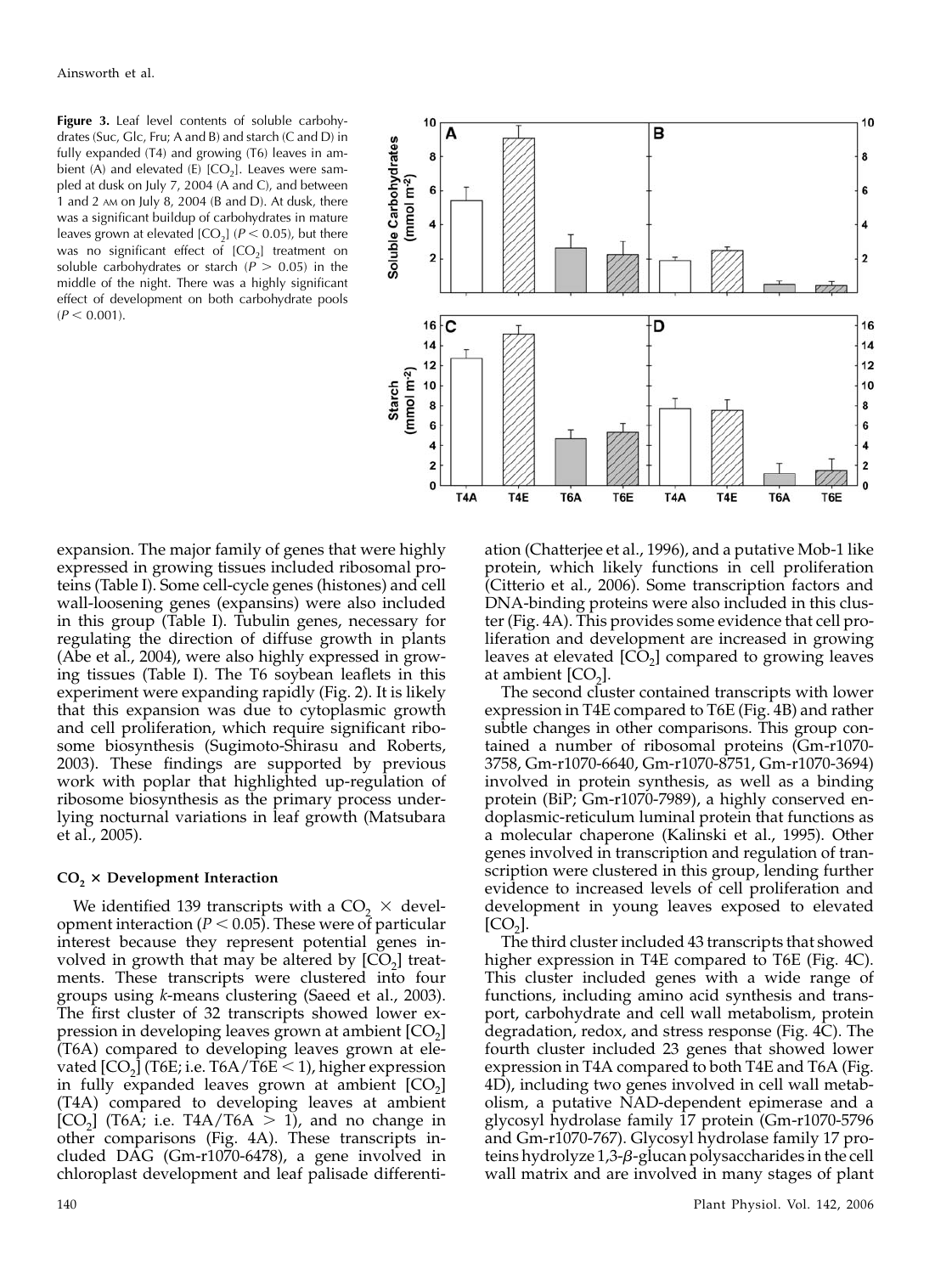Figure 3. Leaf level contents of soluble carbohydrates (Suc, Glc, Fru; A and B) and starch (C and D) in fully expanded (T4) and growing (T6) leaves in ambient (A) and elevated (E)  $[CO<sub>2</sub>]$ . Leaves were sampled at dusk on July 7, 2004 (A and C), and between 1 and 2 AM on July 8, 2004 (B and D). At dusk, there was a significant buildup of carbohydrates in mature leaves grown at elevated  $[CO<sub>2</sub>]$  ( $P < 0.05$ ), but there was no significant effect of  $[CO<sub>2</sub>]$  treatment on soluble carbohydrates or starch ( $P > 0.05$ ) in the middle of the night. There was a highly significant effect of development on both carbohydrate pools  $(P < 0.001)$ .



expansion. The major family of genes that were highly expressed in growing tissues included ribosomal proteins (Table I). Some cell-cycle genes (histones) and cell wall-loosening genes (expansins) were also included in this group (Table I). Tubulin genes, necessary for regulating the direction of diffuse growth in plants (Abe et al., 2004), were also highly expressed in growing tissues (Table I). The T6 soybean leaflets in this experiment were expanding rapidly (Fig. 2). It is likely that this expansion was due to cytoplasmic growth and cell proliferation, which require significant ribosome biosynthesis (Sugimoto-Shirasu and Roberts, 2003). These findings are supported by previous work with poplar that highlighted up-regulation of ribosome biosynthesis as the primary process underlying nocturnal variations in leaf growth (Matsubara et al., 2005).

## $CO<sub>2</sub>$   $\times$  Development Interaction

We identified 139 transcripts with a  $CO<sub>2</sub> \times$  development interaction ( $P < 0.05$ ). These were of particular interest because they represent potential genes involved in growth that may be altered by  $[CO<sub>2</sub>]$  treatments. These transcripts were clustered into four groups using k-means clustering (Saeed et al., 2003). The first cluster of 32 transcripts showed lower expression in developing leaves grown at ambient  $[CO<sub>2</sub>]$ (T6A) compared to developing leaves grown at elevated  $[CO<sub>2</sub>]$  (T6E; i.e. T6A/T6E < 1), higher expression in fully expanded leaves grown at ambient  $[CO<sub>2</sub>]$ (T4A) compared to developing leaves at ambient [CO<sub>2</sub>] (T6A; i.e. T4A/T6A  $>$  1), and no change in other comparisons (Fig. 4A). These transcripts included DAG (Gm-r1070-6478), a gene involved in chloroplast development and leaf palisade differenti-

ation (Chatterjee et al., 1996), and a putative Mob-1 like protein, which likely functions in cell proliferation (Citterio et al., 2006). Some transcription factors and DNA-binding proteins were also included in this cluster (Fig. 4A). This provides some evidence that cell proliferation and development are increased in growing leaves at elevated  $[CO<sub>2</sub>]$  compared to growing leaves at ambient  $[CO<sub>2</sub>]$ .

The second cluster contained transcripts with lower expression in T4E compared to T6E (Fig. 4B) and rather subtle changes in other comparisons. This group contained a number of ribosomal proteins (Gm-r1070- 3758, Gm-r1070-6640, Gm-r1070-8751, Gm-r1070-3694) involved in protein synthesis, as well as a binding protein (BiP; Gm-r1070-7989), a highly conserved endoplasmic-reticulum luminal protein that functions as a molecular chaperone (Kalinski et al., 1995). Other genes involved in transcription and regulation of transcription were clustered in this group, lending further evidence to increased levels of cell proliferation and development in young leaves exposed to elevated  $|CO<sub>2</sub>|$ .

The third cluster included 43 transcripts that showed higher expression in T4E compared to T6E (Fig. 4C). This cluster included genes with a wide range of functions, including amino acid synthesis and transport, carbohydrate and cell wall metabolism, protein degradation, redox, and stress response (Fig. 4C). The fourth cluster included 23 genes that showed lower expression in T4A compared to both T4E and T6A (Fig. 4D), including two genes involved in cell wall metabolism, a putative NAD-dependent epimerase and a glycosyl hydrolase family 17 protein (Gm-r1070-5796 and Gm-r1070-767). Glycosyl hydrolase family 17 proteins hydrolyze 1,3-β-glucan polysaccharides in the cell wall matrix and are involved in many stages of plant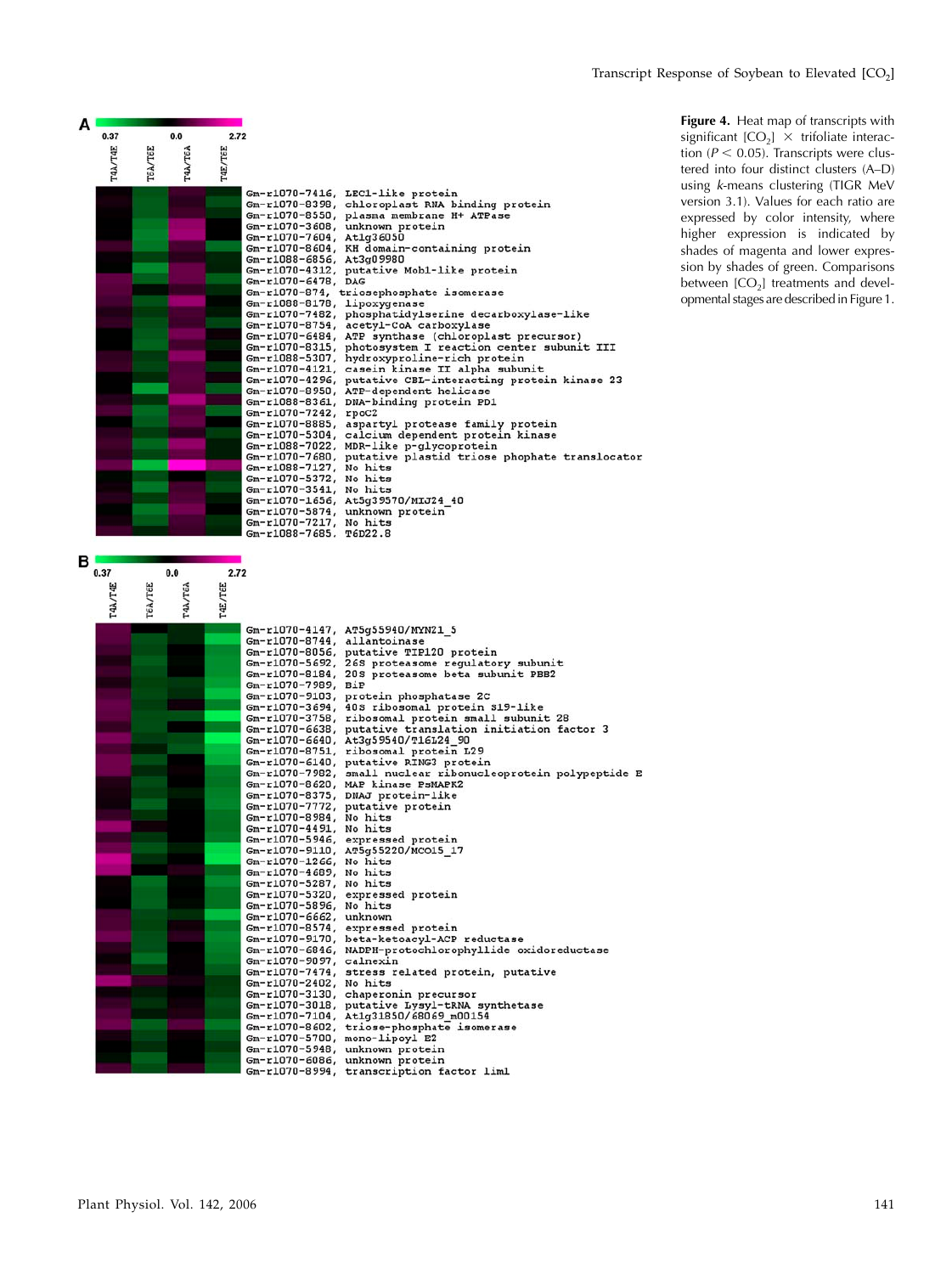| 0.37    | 0.0                              | 2.72                     |                                                              |
|---------|----------------------------------|--------------------------|--------------------------------------------------------------|
| T4A/T4E | <b>TAA/TEA</b><br><b>TEA/TEE</b> | T4E/T6E                  |                                                              |
|         |                                  |                          | Gm-r1070-7416, LEC1-like protein                             |
|         |                                  |                          | Gm-r1070-8398, chloroplast RNA binding protein               |
|         |                                  |                          | Gm-r1070-8550, plasma membrane H+ ATPase                     |
|         |                                  |                          | Gm-r1070-3608, unknown protein                               |
|         |                                  | Gm-r1070-7604, At1q36050 |                                                              |
|         |                                  |                          | Gm-r1070-8604, KH domain-containing protein                  |
|         |                                  | Gm-r1088-6856, At3g09980 |                                                              |
|         |                                  |                          | Gm-r1070-4312, putative Mob1-like protein                    |
|         |                                  | Gm-r1070-6478, DAG       |                                                              |
|         |                                  |                          | Gm-r1070-874, triosephosphate isomerase                      |
|         |                                  |                          | Gm-r1088-8178, lipoxygenase                                  |
|         |                                  |                          | Gm-r1070-7482, phosphatidylserine decarboxylase-like         |
|         |                                  |                          | Gm-r1070-8754, acetyl-CoA carboxylase                        |
|         |                                  |                          | Gm-r1070-6484, ATP synthase (chloroplast precursor)          |
|         |                                  |                          | Gm-r1070-8315, photosystem I reaction center subunit III     |
|         |                                  |                          | Gm-r1088-5307, hydroxyproline-rich protein                   |
|         |                                  |                          | Gm-r1070-4121, casein kinase II alpha subunit                |
|         |                                  |                          | Gm-r1070-4296, putative CBL-interacting protein kinase 23    |
|         |                                  |                          | Gm-r1070-8950, ATP-dependent helicase                        |
|         |                                  |                          | Gm-r1088-8361, DNA-binding protein PD1                       |
|         |                                  | Gm-r1070-7242, rpoC2     |                                                              |
|         |                                  |                          | Gm-r1070-8885, aspartyl protease family protein              |
|         |                                  |                          | Gm-r1070-5304, calcium dependent protein kinase              |
|         |                                  |                          | Gm-r1088-7022, MDR-like p-glycoprotein                       |
|         |                                  |                          | Gm-r1070-7680, putative plastid triose phophate translocator |
|         |                                  | Gm-r1088-7127, No hits   |                                                              |
|         |                                  | Gm-r1070-5372, No hits   |                                                              |
|         |                                  | Gm-r1070-3541, No hits   |                                                              |
|         |                                  |                          | Gm-r1070-1656, At5g39570/MIJ24 40                            |
|         |                                  |                          | Gm-r1070-5874, unknown protein                               |
|         |                                  | Gm-r1070-7217, No hits   |                                                              |
|         |                                  | Gm-r1088-7685, T6D22.8   |                                                              |

Figure 4. Heat map of transcripts with significant  $[CO_2] \times$  trifoliate interaction ( $P < 0.05$ ). Transcripts were clustered into four distinct clusters (A–D) using k-means clustering (TIGR MeV version 3.1). Values for each ratio are expressed by color intensity, where higher expression is indicated by shades of magenta and lower expression by shades of green. Comparisons between  $[CO<sub>2</sub>]$  treatments and developmental stages are described in Figure 1.

| Gm-r1070-4147, AT5q55940/MYN21 5<br>Gm-r1070-8744, allantoinase<br>Gm-r1070-8056, putative TIP120 protein<br>Gm-r1070-5692, 26S proteasome regulatory subunit<br>Gm-r1070-8184, 20S proteasome beta subunit PBB2<br>Gm-r1070-7989, BiP<br>Gm-r1070-9103, protein phosphatase 2C<br>Gm-r1070-3694, 408 ribosomal protein S19-like<br>Gm-r1070-3758, ribosomal protein small subunit 28<br>Gm-r1070-6638, putative translation initiation factor 3<br>Gm-r1070-6640, At3q59540/T16L24 90<br>Gm-r1070-8751, ribosomal protein L29<br>Gm-r1070-6140, putative RING3 protein<br>Gm-r1070-7982, small nuclear ribonucleoprotein polypeptide E<br>Gm-r1070-8620, MAP kinase PsMAPK2<br>Gm-r1070-8375, DNAJ protein-like<br>Gm-r1070-7772, putative protein<br>Gm-r1070-8984, No hits<br>Gm-r1070-4491, No hits<br>Gm-r1070-5946, expressed protein<br>Gm-r1070-9110, AT5q55220/MCO15 17<br>Gm-r1070-1266, No hits | T4A/ | TEA/ | T4A/ | T4E/ |  |
|------------------------------------------------------------------------------------------------------------------------------------------------------------------------------------------------------------------------------------------------------------------------------------------------------------------------------------------------------------------------------------------------------------------------------------------------------------------------------------------------------------------------------------------------------------------------------------------------------------------------------------------------------------------------------------------------------------------------------------------------------------------------------------------------------------------------------------------------------------------------------------------------------------|------|------|------|------|--|
|                                                                                                                                                                                                                                                                                                                                                                                                                                                                                                                                                                                                                                                                                                                                                                                                                                                                                                            |      |      |      |      |  |
|                                                                                                                                                                                                                                                                                                                                                                                                                                                                                                                                                                                                                                                                                                                                                                                                                                                                                                            |      |      |      |      |  |
|                                                                                                                                                                                                                                                                                                                                                                                                                                                                                                                                                                                                                                                                                                                                                                                                                                                                                                            |      |      |      |      |  |
|                                                                                                                                                                                                                                                                                                                                                                                                                                                                                                                                                                                                                                                                                                                                                                                                                                                                                                            |      |      |      |      |  |
|                                                                                                                                                                                                                                                                                                                                                                                                                                                                                                                                                                                                                                                                                                                                                                                                                                                                                                            |      |      |      |      |  |
|                                                                                                                                                                                                                                                                                                                                                                                                                                                                                                                                                                                                                                                                                                                                                                                                                                                                                                            |      |      |      |      |  |
|                                                                                                                                                                                                                                                                                                                                                                                                                                                                                                                                                                                                                                                                                                                                                                                                                                                                                                            |      |      |      |      |  |
|                                                                                                                                                                                                                                                                                                                                                                                                                                                                                                                                                                                                                                                                                                                                                                                                                                                                                                            |      |      |      |      |  |
|                                                                                                                                                                                                                                                                                                                                                                                                                                                                                                                                                                                                                                                                                                                                                                                                                                                                                                            |      |      |      |      |  |
|                                                                                                                                                                                                                                                                                                                                                                                                                                                                                                                                                                                                                                                                                                                                                                                                                                                                                                            |      |      |      |      |  |
|                                                                                                                                                                                                                                                                                                                                                                                                                                                                                                                                                                                                                                                                                                                                                                                                                                                                                                            |      |      |      |      |  |
|                                                                                                                                                                                                                                                                                                                                                                                                                                                                                                                                                                                                                                                                                                                                                                                                                                                                                                            |      |      |      |      |  |
|                                                                                                                                                                                                                                                                                                                                                                                                                                                                                                                                                                                                                                                                                                                                                                                                                                                                                                            |      |      |      |      |  |
|                                                                                                                                                                                                                                                                                                                                                                                                                                                                                                                                                                                                                                                                                                                                                                                                                                                                                                            |      |      |      |      |  |
|                                                                                                                                                                                                                                                                                                                                                                                                                                                                                                                                                                                                                                                                                                                                                                                                                                                                                                            |      |      |      |      |  |
|                                                                                                                                                                                                                                                                                                                                                                                                                                                                                                                                                                                                                                                                                                                                                                                                                                                                                                            |      |      |      |      |  |
|                                                                                                                                                                                                                                                                                                                                                                                                                                                                                                                                                                                                                                                                                                                                                                                                                                                                                                            |      |      |      |      |  |
|                                                                                                                                                                                                                                                                                                                                                                                                                                                                                                                                                                                                                                                                                                                                                                                                                                                                                                            |      |      |      |      |  |
|                                                                                                                                                                                                                                                                                                                                                                                                                                                                                                                                                                                                                                                                                                                                                                                                                                                                                                            |      |      |      |      |  |
|                                                                                                                                                                                                                                                                                                                                                                                                                                                                                                                                                                                                                                                                                                                                                                                                                                                                                                            |      |      |      |      |  |
|                                                                                                                                                                                                                                                                                                                                                                                                                                                                                                                                                                                                                                                                                                                                                                                                                                                                                                            |      |      |      |      |  |
|                                                                                                                                                                                                                                                                                                                                                                                                                                                                                                                                                                                                                                                                                                                                                                                                                                                                                                            |      |      |      |      |  |
| Gm-r1070-4689, No hits<br>Gm-r1070-5287, No hits                                                                                                                                                                                                                                                                                                                                                                                                                                                                                                                                                                                                                                                                                                                                                                                                                                                           |      |      |      |      |  |
| Gm-r1070-5320, expressed protein                                                                                                                                                                                                                                                                                                                                                                                                                                                                                                                                                                                                                                                                                                                                                                                                                                                                           |      |      |      |      |  |
| Gm-r1070-5896, No hits                                                                                                                                                                                                                                                                                                                                                                                                                                                                                                                                                                                                                                                                                                                                                                                                                                                                                     |      |      |      |      |  |
| Gm-r1070-6662, unknown                                                                                                                                                                                                                                                                                                                                                                                                                                                                                                                                                                                                                                                                                                                                                                                                                                                                                     |      |      |      |      |  |
| Gm-r1070-8574, expressed protein                                                                                                                                                                                                                                                                                                                                                                                                                                                                                                                                                                                                                                                                                                                                                                                                                                                                           |      |      |      |      |  |
| Gm-r1070-9170, beta-ketoacyl-ACP reductase                                                                                                                                                                                                                                                                                                                                                                                                                                                                                                                                                                                                                                                                                                                                                                                                                                                                 |      |      |      |      |  |
| Gm-r1070-6846, NADPH-protochlorophyllide oxidoreductase                                                                                                                                                                                                                                                                                                                                                                                                                                                                                                                                                                                                                                                                                                                                                                                                                                                    |      |      |      |      |  |
| Gm-r1070-9097, calnexin                                                                                                                                                                                                                                                                                                                                                                                                                                                                                                                                                                                                                                                                                                                                                                                                                                                                                    |      |      |      |      |  |
| Gm-r1070-7474, stress related protein, putative                                                                                                                                                                                                                                                                                                                                                                                                                                                                                                                                                                                                                                                                                                                                                                                                                                                            |      |      |      |      |  |
| Gm-r1070-2402, No hits                                                                                                                                                                                                                                                                                                                                                                                                                                                                                                                                                                                                                                                                                                                                                                                                                                                                                     |      |      |      |      |  |
| Gm-r1070-3130, chaperonin precursor                                                                                                                                                                                                                                                                                                                                                                                                                                                                                                                                                                                                                                                                                                                                                                                                                                                                        |      |      |      |      |  |
| Gm-r1070-3018, putative Lysyl-tRNA synthetase                                                                                                                                                                                                                                                                                                                                                                                                                                                                                                                                                                                                                                                                                                                                                                                                                                                              |      |      |      |      |  |
| Gm-r1070-7104, At1q31850/68069 m00154                                                                                                                                                                                                                                                                                                                                                                                                                                                                                                                                                                                                                                                                                                                                                                                                                                                                      |      |      |      |      |  |
| Gm-r1070-8602, triose-phosphate isomerase                                                                                                                                                                                                                                                                                                                                                                                                                                                                                                                                                                                                                                                                                                                                                                                                                                                                  |      |      |      |      |  |
| Gm-r1070-5700, mono-lipoyl E2                                                                                                                                                                                                                                                                                                                                                                                                                                                                                                                                                                                                                                                                                                                                                                                                                                                                              |      |      |      |      |  |
| Gm-r1070-5948, unknown protein                                                                                                                                                                                                                                                                                                                                                                                                                                                                                                                                                                                                                                                                                                                                                                                                                                                                             |      |      |      |      |  |
| Gm-r1070-6086, unknown protein                                                                                                                                                                                                                                                                                                                                                                                                                                                                                                                                                                                                                                                                                                                                                                                                                                                                             |      |      |      |      |  |
| Gm-r1070-8994, transcription factor liml                                                                                                                                                                                                                                                                                                                                                                                                                                                                                                                                                                                                                                                                                                                                                                                                                                                                   |      |      |      |      |  |

тєа

TEE

**Ltf.** 

TEE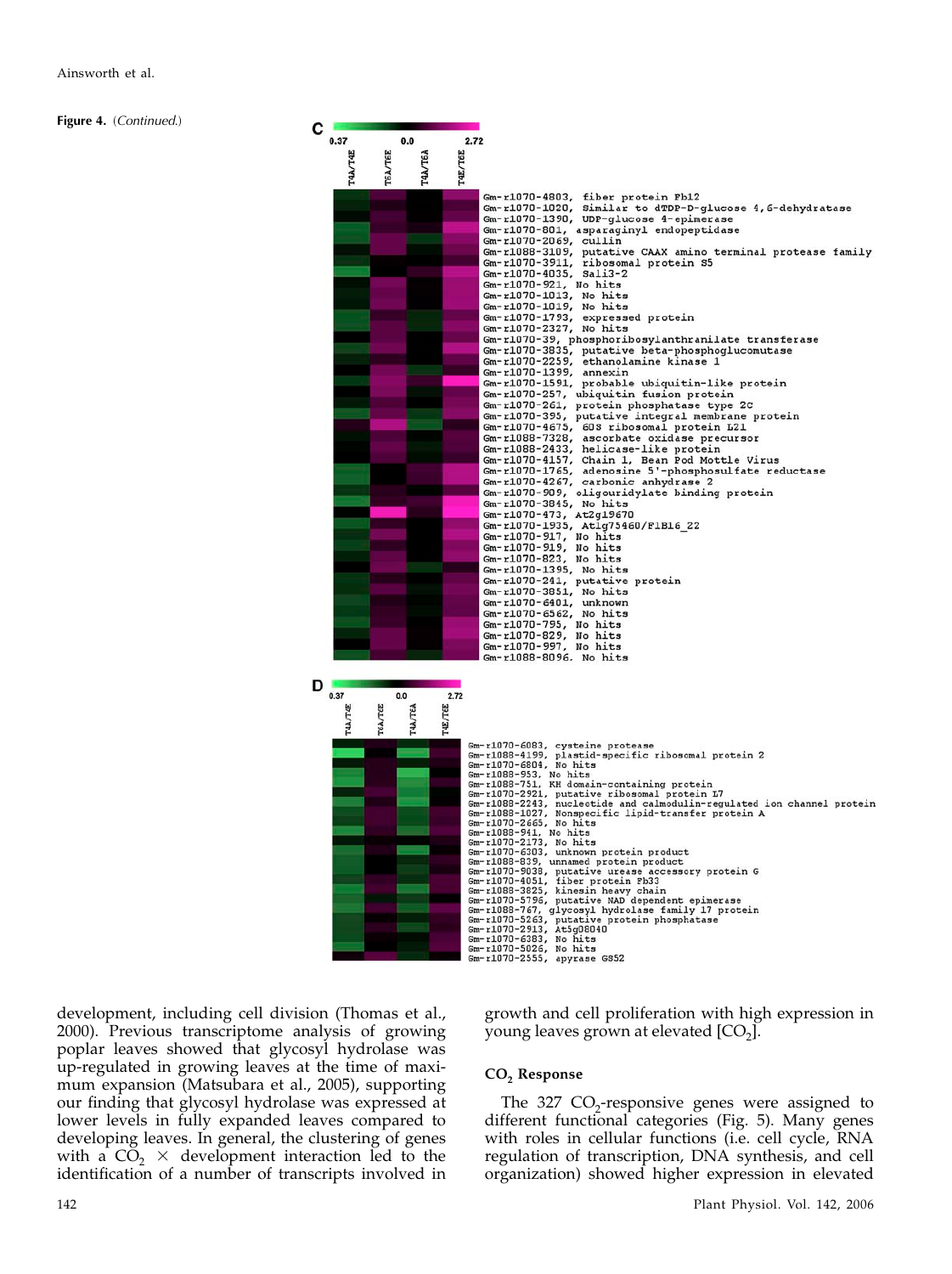Figure 4. (Continued.)



development, including cell division (Thomas et al., 2000). Previous transcriptome analysis of growing poplar leaves showed that glycosyl hydrolase was up-regulated in growing leaves at the time of maximum expansion (Matsubara et al., 2005), supporting our finding that glycosyl hydrolase was expressed at lower levels in fully expanded leaves compared to developing leaves. In general, the clustering of genes with a  $CO<sub>2</sub> \times$  development interaction led to the identification of a number of transcripts involved in

# growth and cell proliferation with high expression in young leaves grown at elevated  $[CO<sub>2</sub>]$ .

# CO<sub>2</sub> Response

The 327  $CO<sub>2</sub>$ -responsive genes were assigned to different functional categories (Fig. 5). Many genes with roles in cellular functions (i.e. cell cycle, RNA regulation of transcription, DNA synthesis, and cell organization) showed higher expression in elevated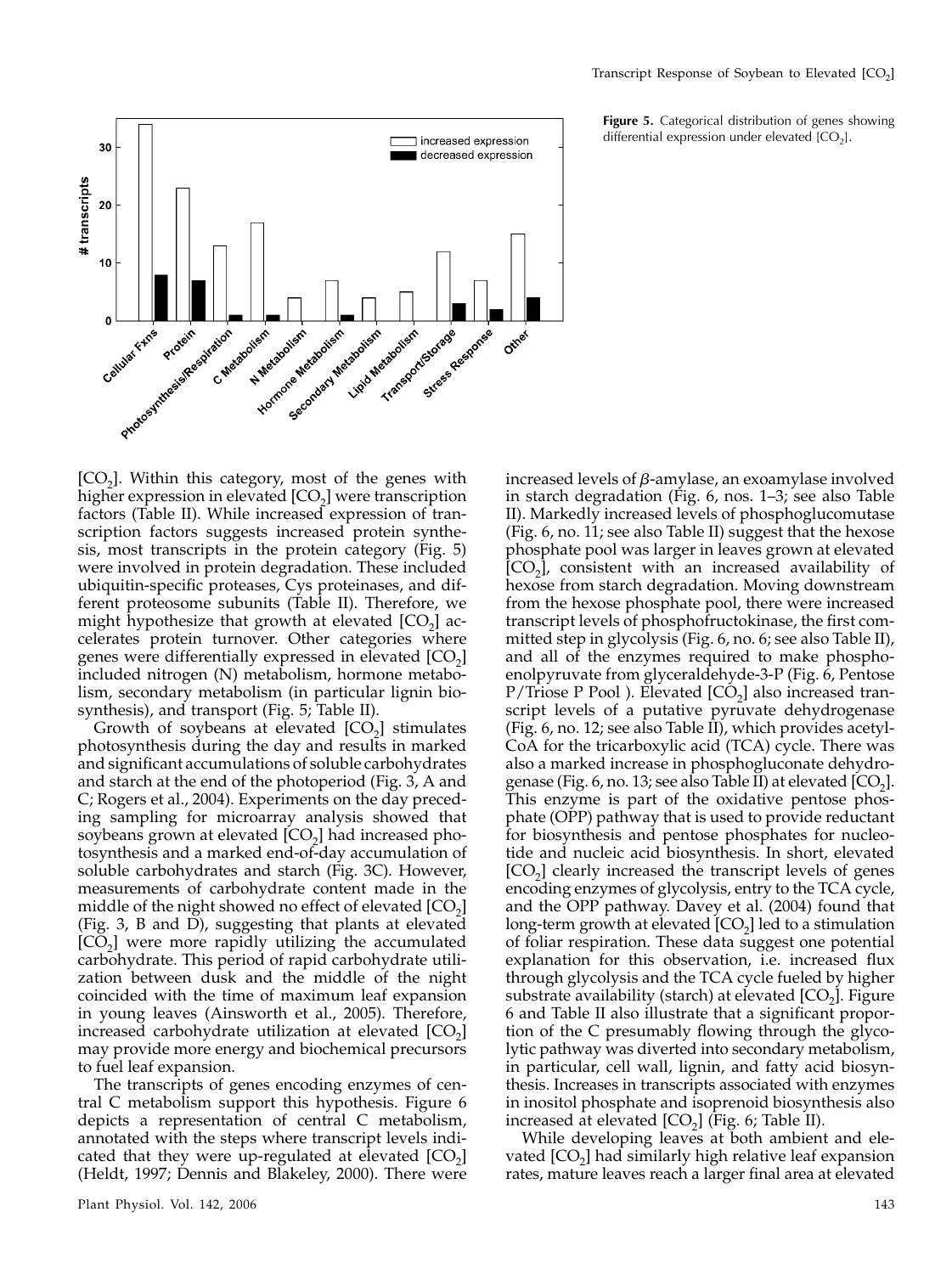

Figure 5. Categorical distribution of genes showing differential expression under elevated  $[CO<sub>2</sub>]$ .

 $[CO<sub>2</sub>]$ . Within this category, most of the genes with higher expression in elevated  $[CO<sub>2</sub>]$  were transcription factors (Table II). While increased expression of transcription factors suggests increased protein synthesis, most transcripts in the protein category (Fig. 5) were involved in protein degradation. These included ubiquitin-specific proteases, Cys proteinases, and different proteosome subunits (Table II). Therefore, we might hypothesize that growth at elevated  $[CO<sub>2</sub>]$  accelerates protein turnover. Other categories where genes were differentially expressed in elevated  $[CO<sub>2</sub>]$ included nitrogen (N) metabolism, hormone metabolism, secondary metabolism (in particular lignin biosynthesis), and transport (Fig. 5; Table II).

Growth of soybeans at elevated  $[CO_2]$  stimulates photosynthesis during the day and results in marked and significant accumulations of soluble carbohydrates and starch at the end of the photoperiod (Fig. 3, A and C; Rogers et al., 2004). Experiments on the day preceding sampling for microarray analysis showed that soybeans grown at elevated  $[CO<sub>2</sub>]$  had increased photosynthesis and a marked end-of-day accumulation of soluble carbohydrates and starch (Fig. 3C). However, measurements of carbohydrate content made in the middle of the night showed no effect of elevated  $[CO<sub>2</sub>]$ (Fig. 3, B and D), suggesting that plants at elevated  $[CO<sub>2</sub>]$  were more rapidly utilizing the accumulated carbohydrate. This period of rapid carbohydrate utilization between dusk and the middle of the night coincided with the time of maximum leaf expansion in young leaves (Ainsworth et al., 2005). Therefore, increased carbohydrate utilization at elevated  $[CO<sub>2</sub>]$ may provide more energy and biochemical precursors to fuel leaf expansion.

The transcripts of genes encoding enzymes of central C metabolism support this hypothesis. Figure 6 depicts a representation of central C metabolism, annotated with the steps where transcript levels indicated that they were up-regulated at elevated  $[CO<sub>2</sub>]$ (Heldt, 1997; Dennis and Blakeley, 2000). There were increased levels of  $\beta$ -amylase, an exoamylase involved in starch degradation (Fig. 6, nos. 1–3; see also Table II). Markedly increased levels of phosphoglucomutase (Fig. 6, no. 11; see also Table II) suggest that the hexose phosphate pool was larger in leaves grown at elevated  $[CO<sub>2</sub>]$ , consistent with an increased availability of hexose from starch degradation. Moving downstream from the hexose phosphate pool, there were increased transcript levels of phosphofructokinase, the first committed step in glycolysis (Fig. 6, no. 6; see also Table II), and all of the enzymes required to make phosphoenolpyruvate from glyceraldehyde-3-P (Fig. 6, Pentose P/Triose P Pool ). Elevated  $[CO<sub>2</sub>]$  also increased transcript levels of a putative pyruvate dehydrogenase (Fig. 6, no. 12; see also Table  $\overline{II}$ ), which provides acetyl-CoA for the tricarboxylic acid (TCA) cycle. There was also a marked increase in phosphogluconate dehydrogenase (Fig. 6, no. 13; see also Table II) at elevated  $[CO<sub>2</sub>]$ . This enzyme is part of the oxidative pentose phosphate (OPP) pathway that is used to provide reductant for biosynthesis and pentose phosphates for nucleotide and nucleic acid biosynthesis. In short, elevated  $[CO<sub>2</sub>]$  clearly increased the transcript levels of genes encoding enzymes of glycolysis, entry to the TCA cycle, and the OPP pathway. Davey et al. (2004) found that long-term growth at elevated  $[CO<sub>2</sub>]$  led to a stimulation of foliar respiration. These data suggest one potential explanation for this observation, i.e. increased flux through glycolysis and the TCA cycle fueled by higher substrate availability (starch) at elevated  $[CO<sub>2</sub>]$ . Figure 6 and Table II also illustrate that a significant proportion of the C presumably flowing through the glycolytic pathway was diverted into secondary metabolism, in particular, cell wall, lignin, and fatty acid biosynthesis. Increases in transcripts associated with enzymes in inositol phosphate and isoprenoid biosynthesis also increased at elevated  $[CO<sub>2</sub>]$  (Fig. 6; Table II).

While developing leaves at both ambient and elevated  $[CO<sub>2</sub>]$  had similarly high relative leaf expansion rates, mature leaves reach a larger final area at elevated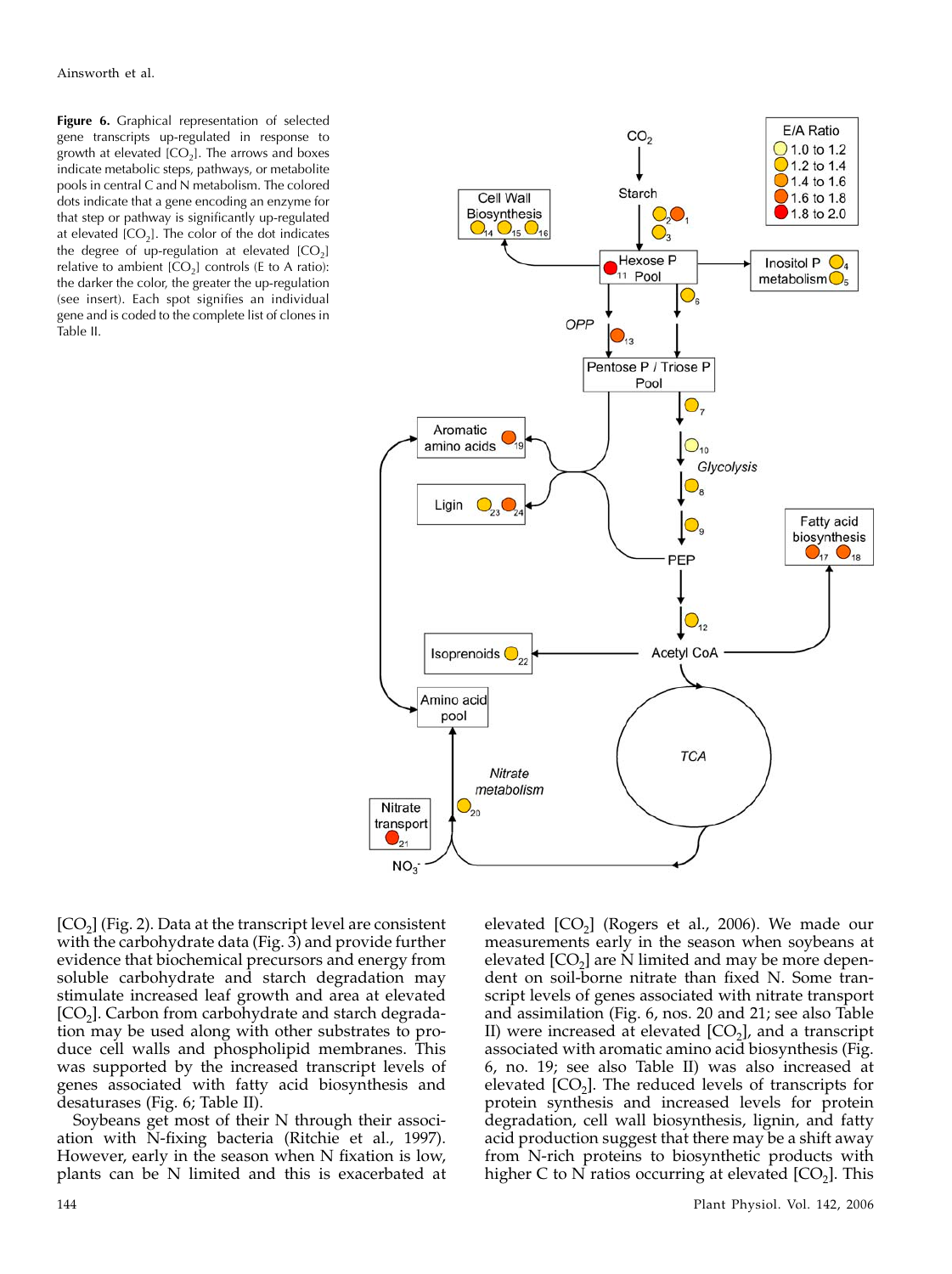Figure 6. Graphical representation of selected gene transcripts up-regulated in response to growth at elevated  $[CO<sub>2</sub>]$ . The arrows and boxes indicate metabolic steps, pathways, or metabolite pools in central C and N metabolism. The colored dots indicate that a gene encoding an enzyme for that step or pathway is significantly up-regulated at elevated  $[CO<sub>2</sub>]$ . The color of the dot indicates the degree of up-regulation at elevated  $[CO<sub>2</sub>]$ relative to ambient  $[CO_2]$  controls (E to A ratio): the darker the color, the greater the up-regulation (see insert). Each spot signifies an individual gene and is coded to the complete list of clones in Table II.



 $[CO<sub>2</sub>]$  (Fig. 2). Data at the transcript level are consistent with the carbohydrate data (Fig. 3) and provide further evidence that biochemical precursors and energy from soluble carbohydrate and starch degradation may stimulate increased leaf growth and area at elevated  $[CO<sub>2</sub>]$ . Carbon from carbohydrate and starch degradation may be used along with other substrates to produce cell walls and phospholipid membranes. This was supported by the increased transcript levels of genes associated with fatty acid biosynthesis and desaturases (Fig. 6; Table II).

Soybeans get most of their N through their association with N-fixing bacteria (Ritchie et al., 1997). However, early in the season when N fixation is low, plants can be N limited and this is exacerbated at

elevated  $[CO<sub>2</sub>]$  (Rogers et al., 2006). We made our measurements early in the season when soybeans at elevated  $[CO<sub>2</sub>]$  are N limited and may be more dependent on soil-borne nitrate than fixed N. Some transcript levels of genes associated with nitrate transport and assimilation (Fig. 6, nos. 20 and 21; see also Table II) were increased at elevated  $[CO_2]$ , and a transcript associated with aromatic amino acid biosynthesis (Fig. 6, no. 19; see also Table II) was also increased at elevated  $[CO<sub>2</sub>]$ . The reduced levels of transcripts for protein synthesis and increased levels for protein degradation, cell wall biosynthesis, lignin, and fatty acid production suggest that there may be a shift away from N-rich proteins to biosynthetic products with higher C to N ratios occurring at elevated  $[CO<sub>2</sub>]$ . This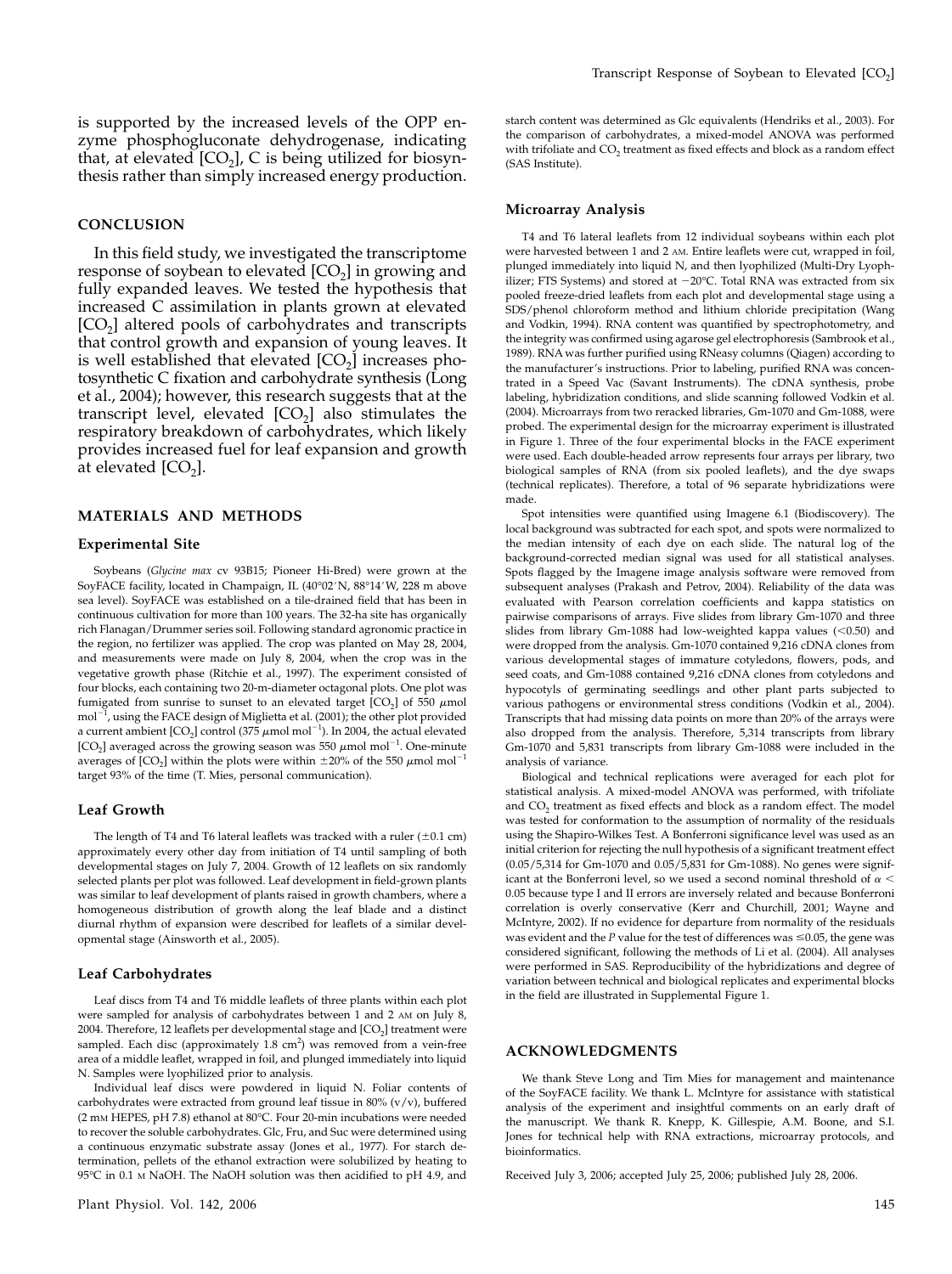is supported by the increased levels of the OPP enzyme phosphogluconate dehydrogenase, indicating that, at elevated  $[CO<sub>2</sub>]$ , C is being utilized for biosynthesis rather than simply increased energy production.

## **CONCLUSION**

In this field study, we investigated the transcriptome response of soybean to elevated  $[CO<sub>2</sub>]$  in growing and fully expanded leaves. We tested the hypothesis that increased C assimilation in plants grown at elevated  $[CO<sub>2</sub>]$  altered pools of carbohydrates and transcripts that control growth and expansion of young leaves. It is well established that elevated  $[CO<sub>2</sub>]$  increases photosynthetic C fixation and carbohydrate synthesis (Long et al., 2004); however, this research suggests that at the transcript level, elevated  $[CO<sub>2</sub>]$  also stimulates the respiratory breakdown of carbohydrates, which likely provides increased fuel for leaf expansion and growth at elevated  $[CO<sub>2</sub>]$ .

# MATERIALS AND METHODS

## Experimental Site

Soybeans (Glycine max cv 93B15; Pioneer Hi-Bred) were grown at the SoyFACE facility, located in Champaign, IL (40°02'N, 88°14'W, 228 m above sea level). SoyFACE was established on a tile-drained field that has been in continuous cultivation for more than 100 years. The 32-ha site has organically rich Flanagan/Drummer series soil. Following standard agronomic practice in the region, no fertilizer was applied. The crop was planted on May 28, 2004, and measurements were made on July 8, 2004, when the crop was in the vegetative growth phase (Ritchie et al., 1997). The experiment consisted of four blocks, each containing two 20-m-diameter octagonal plots. One plot was fumigated from sunrise to sunset to an elevated target  $[CO<sub>2</sub>]$  of 550  $\mu$ mol  $\mathrm{mol}^{-1}$ , using the FACE design of Miglietta et al. (2001); the other plot provided a current ambient  $\text{[CO}_2\text{]}$  control (375  $\mu \text{mol}$  mol $^{-1}$ ). In 2004, the actual elevated [CO<sub>2</sub>] averaged across the growing season was 550  $\mu$ mol mol<sup>-1</sup>. One-minute averages of  $[CO_2]$  within the plots were within  $\pm 20\%$  of the 550  $\mu$ mol mol<sup>-</sup> target 93% of the time (T. Mies, personal communication).

## Leaf Growth

The length of T4 and T6 lateral leaflets was tracked with a ruler  $(\pm 0.1 \text{ cm})$ approximately every other day from initiation of T4 until sampling of both developmental stages on July 7, 2004. Growth of 12 leaflets on six randomly selected plants per plot was followed. Leaf development in field-grown plants was similar to leaf development of plants raised in growth chambers, where a homogeneous distribution of growth along the leaf blade and a distinct diurnal rhythm of expansion were described for leaflets of a similar developmental stage (Ainsworth et al., 2005).

## Leaf Carbohydrates

Leaf discs from T4 and T6 middle leaflets of three plants within each plot were sampled for analysis of carbohydrates between 1 and 2 AM on July 8, 2004. Therefore, 12 leaflets per developmental stage and  $[CO<sub>2</sub>]$  treatment were sampled. Each disc (approximately  $1.8 \text{ cm}^2$ ) was removed from a vein-free area of a middle leaflet, wrapped in foil, and plunged immediately into liquid N. Samples were lyophilized prior to analysis.

Individual leaf discs were powdered in liquid N. Foliar contents of carbohydrates were extracted from ground leaf tissue in 80% (v/v), buffered (2 mm HEPES, pH 7.8) ethanol at 80°C. Four 20-min incubations were needed to recover the soluble carbohydrates. Glc, Fru, and Suc were determined using a continuous enzymatic substrate assay (Jones et al., 1977). For starch determination, pellets of the ethanol extraction were solubilized by heating to 95°C in 0.1 m NaOH. The NaOH solution was then acidified to pH 4.9, and

starch content was determined as Glc equivalents (Hendriks et al., 2003). For the comparison of carbohydrates, a mixed-model ANOVA was performed with trifoliate and CO<sub>2</sub> treatment as fixed effects and block as a random effect (SAS Institute).

#### Microarray Analysis

T4 and T6 lateral leaflets from 12 individual soybeans within each plot were harvested between 1 and 2 AM. Entire leaflets were cut, wrapped in foil, plunged immediately into liquid N, and then lyophilized (Multi-Dry Lyophilizer; FTS Systems) and stored at –20°C. Total RNA was extracted from six pooled freeze-dried leaflets from each plot and developmental stage using a SDS/phenol chloroform method and lithium chloride precipitation (Wang and Vodkin, 1994). RNA content was quantified by spectrophotometry, and the integrity was confirmed using agarose gel electrophoresis (Sambrook et al., 1989). RNA was further purified using RNeasy columns (Qiagen) according to the manufacturer's instructions. Prior to labeling, purified RNA was concentrated in a Speed Vac (Savant Instruments). The cDNA synthesis, probe labeling, hybridization conditions, and slide scanning followed Vodkin et al. (2004). Microarrays from two reracked libraries, Gm-1070 and Gm-1088, were probed. The experimental design for the microarray experiment is illustrated in Figure 1. Three of the four experimental blocks in the FACE experiment were used. Each double-headed arrow represents four arrays per library, two biological samples of RNA (from six pooled leaflets), and the dye swaps (technical replicates). Therefore, a total of 96 separate hybridizations were made.

Spot intensities were quantified using Imagene 6.1 (Biodiscovery). The local background was subtracted for each spot, and spots were normalized to the median intensity of each dye on each slide. The natural log of the background-corrected median signal was used for all statistical analyses. Spots flagged by the Imagene image analysis software were removed from subsequent analyses (Prakash and Petrov, 2004). Reliability of the data was evaluated with Pearson correlation coefficients and kappa statistics on pairwise comparisons of arrays. Five slides from library Gm-1070 and three slides from library Gm-1088 had low-weighted kappa values  $(< 0.50$ ) and were dropped from the analysis. Gm-1070 contained 9,216 cDNA clones from various developmental stages of immature cotyledons, flowers, pods, and seed coats, and Gm-1088 contained 9,216 cDNA clones from cotyledons and hypocotyls of germinating seedlings and other plant parts subjected to various pathogens or environmental stress conditions (Vodkin et al., 2004). Transcripts that had missing data points on more than 20% of the arrays were also dropped from the analysis. Therefore, 5,314 transcripts from library Gm-1070 and 5,831 transcripts from library Gm-1088 were included in the analysis of variance.

Biological and technical replications were averaged for each plot for statistical analysis. A mixed-model ANOVA was performed, with trifoliate and  $CO<sub>2</sub>$  treatment as fixed effects and block as a random effect. The model was tested for conformation to the assumption of normality of the residuals using the Shapiro-Wilkes Test. A Bonferroni significance level was used as an initial criterion for rejecting the null hypothesis of a significant treatment effect (0.05/5,314 for Gm-1070 and 0.05/5,831 for Gm-1088). No genes were significant at the Bonferroni level, so we used a second nominal threshold of  $\alpha$  < 0.05 because type I and II errors are inversely related and because Bonferroni correlation is overly conservative (Kerr and Churchill, 2001; Wayne and McIntyre, 2002). If no evidence for departure from normality of the residuals was evident and the  $P$  value for the test of differences was  $\leq$ 0.05, the gene was considered significant, following the methods of Li et al. (2004). All analyses were performed in SAS. Reproducibility of the hybridizations and degree of variation between technical and biological replicates and experimental blocks in the field are illustrated in Supplemental Figure 1.

#### ACKNOWLEDGMENTS

We thank Steve Long and Tim Mies for management and maintenance of the SoyFACE facility. We thank L. McIntyre for assistance with statistical analysis of the experiment and insightful comments on an early draft of the manuscript. We thank R. Knepp, K. Gillespie, A.M. Boone, and S.I. Jones for technical help with RNA extractions, microarray protocols, and bioinformatics.

Received July 3, 2006; accepted July 25, 2006; published July 28, 2006.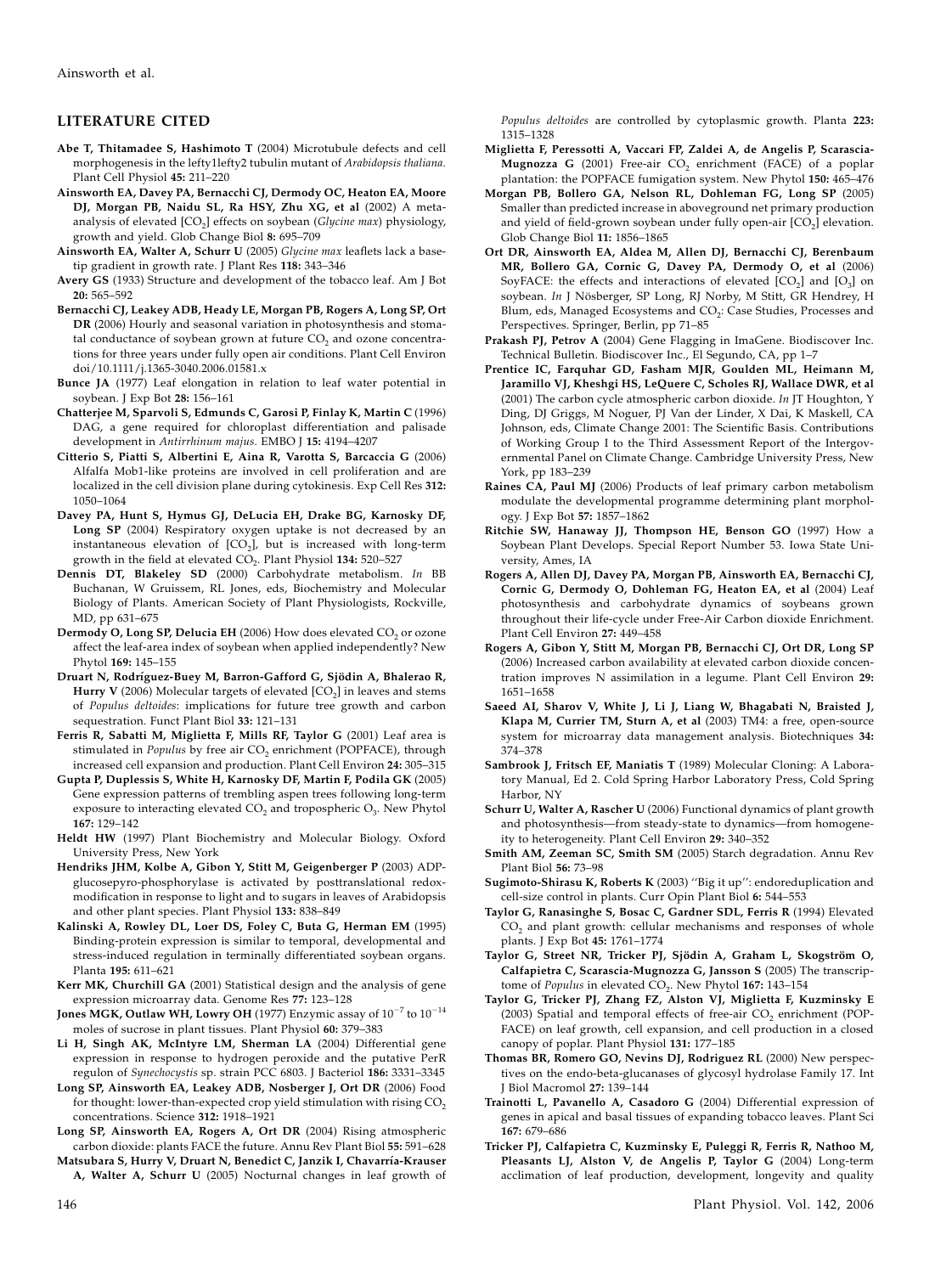# LITERATURE CITED

- Abe T, Thitamadee S, Hashimoto T (2004) Microtubule defects and cell morphogenesis in the lefty1lefty2 tubulin mutant of Arabidopsis thaliana. Plant Cell Physiol 45: 211–220
- Ainsworth EA, Davey PA, Bernacchi CJ, Dermody OC, Heaton EA, Moore DJ, Morgan PB, Naidu SL, Ra HSY, Zhu XG, et al (2002) A metaanalysis of elevated  $[CO<sub>2</sub>]$  effects on soybean (Glycine max) physiology, growth and yield. Glob Change Biol 8: 695–709
- Ainsworth EA, Walter A, Schurr U (2005) Glycine max leaflets lack a basetip gradient in growth rate. J Plant Res 118: 343–346
- Avery GS (1933) Structure and development of the tobacco leaf. Am J Bot 20: 565–592
- Bernacchi CJ, Leakey ADB, Heady LE, Morgan PB, Rogers A, Long SP, Ort DR (2006) Hourly and seasonal variation in photosynthesis and stomatal conductance of soybean grown at future  $CO<sub>2</sub>$  and ozone concentrations for three years under fully open air conditions. Plant Cell Environ doi/10.1111/j.1365-3040.2006.01581.x
- Bunce JA (1977) Leaf elongation in relation to leaf water potential in soybean. J Exp Bot 28: 156–161
- Chatterjee M, Sparvoli S, Edmunds C, Garosi P, Finlay K, Martin C (1996) DAG, a gene required for chloroplast differentiation and palisade development in Antirrhinum majus. EMBO J 15: 4194–4207
- Citterio S, Piatti S, Albertini E, Aina R, Varotta S, Barcaccia G (2006) Alfalfa Mob1-like proteins are involved in cell proliferation and are localized in the cell division plane during cytokinesis. Exp Cell Res 312: 1050–1064
- Davey PA, Hunt S, Hymus GJ, DeLucia EH, Drake BG, Karnosky DF, Long SP (2004) Respiratory oxygen uptake is not decreased by an instantaneous elevation of  $[CO<sub>2</sub>]$ , but is increased with long-term growth in the field at elevated  $CO<sub>2</sub>$ . Plant Physiol 134: 520-527
- Dennis DT, Blakeley SD (2000) Carbohydrate metabolism. In BB Buchanan, W Gruissem, RL Jones, eds, Biochemistry and Molecular Biology of Plants. American Society of Plant Physiologists, Rockville, MD, pp 631–675
- Dermody O, Long SP, Delucia EH (2006) How does elevated  $CO<sub>2</sub>$  or ozone affect the leaf-area index of soybean when applied independently? New Phytol 169: 145–155
- Druart N, Rodríguez-Buey M, Barron-Gafford G, Sjödin A, Bhalerao R, Hurry V (2006) Molecular targets of elevated  $[CO<sub>2</sub>]$  in leaves and stems of Populus deltoides: implications for future tree growth and carbon sequestration. Funct Plant Biol 33: 121–131
- Ferris R, Sabatti M, Miglietta F, Mills RF, Taylor G (2001) Leaf area is stimulated in Populus by free air CO<sub>2</sub> enrichment (POPFACE), through increased cell expansion and production. Plant Cell Environ 24: 305–315
- Gupta P, Duplessis S, White H, Karnosky DF, Martin F, Podila GK (2005) Gene expression patterns of trembling aspen trees following long-term exposure to interacting elevated  $CO<sub>2</sub>$  and tropospheric  $O<sub>3</sub>$ . New Phytol 167: 129–142
- Heldt HW (1997) Plant Biochemistry and Molecular Biology. Oxford University Press, New York
- Hendriks JHM, Kolbe A, Gibon Y, Stitt M, Geigenberger P (2003) ADPglucosepyro-phosphorylase is activated by posttranslational redoxmodification in response to light and to sugars in leaves of Arabidopsis and other plant species. Plant Physiol 133: 838–849
- Kalinski A, Rowley DL, Loer DS, Foley C, Buta G, Herman EM (1995) Binding-protein expression is similar to temporal, developmental and stress-induced regulation in terminally differentiated soybean organs. Planta 195: 611–621
- Kerr MK, Churchill GA (2001) Statistical design and the analysis of gene expression microarray data. Genome Res 77: 123–128
- Jones MGK, Outlaw WH, Lowry OH (1977) Enzymic assay of  $10^{-7}$  to  $10^{-14}$ moles of sucrose in plant tissues. Plant Physiol 60: 379–383
- Li H, Singh AK, McIntyre LM, Sherman LA (2004) Differential gene expression in response to hydrogen peroxide and the putative PerR regulon of Synechocystis sp. strain PCC 6803. J Bacteriol 186: 3331–3345
- Long SP, Ainsworth EA, Leakey ADB, Nosberger J, Ort DR (2006) Food for thought: lower-than-expected crop yield stimulation with rising  $CO<sub>2</sub>$ concentrations. Science 312: 1918–1921
- Long SP, Ainsworth EA, Rogers A, Ort DR (2004) Rising atmospheric carbon dioxide: plants FACE the future. Annu Rev Plant Biol 55: 591–628
- Matsubara S, Hurry V, Druart N, Benedict C, Janzik I, Chavarría-Krauser A, Walter A, Schurr U (2005) Nocturnal changes in leaf growth of

Populus deltoides are controlled by cytoplasmic growth. Planta 223: 1315–1328

- Miglietta F, Peressotti A, Vaccari FP, Zaldei A, de Angelis P, Scarascia-**Mugnozza G** (2001) Free-air  $CO<sub>2</sub>$  enrichment (FACE) of a poplar plantation: the POPFACE fumigation system. New Phytol 150: 465–476
- Morgan PB, Bollero GA, Nelson RL, Dohleman FG, Long SP (2005) Smaller than predicted increase in aboveground net primary production and yield of field-grown soybean under fully open-air  $[CO<sub>2</sub>]$  elevation. Glob Change Biol 11: 1856–1865
- Ort DR, Ainsworth EA, Aldea M, Allen DJ, Bernacchi CJ, Berenbaum MR, Bollero GA, Cornic G, Davey PA, Dermody O, et al (2006) SoyFACE: the effects and interactions of elevated  $[CO<sub>2</sub>]$  and  $[O<sub>3</sub>]$  on soybean. In J Nösberger, SP Long, RJ Norby, M Stitt, GR Hendrey, H Blum, eds, Managed Ecosystems and CO<sub>2</sub>: Case Studies, Processes and Perspectives. Springer, Berlin, pp 71–85
- Prakash PJ, Petrov A (2004) Gene Flagging in ImaGene. Biodiscover Inc. Technical Bulletin. Biodiscover Inc., El Segundo, CA, pp 1–7
- Prentice IC, Farquhar GD, Fasham MJR, Goulden ML, Heimann M, Jaramillo VJ, Kheshgi HS, LeQuere C, Scholes RJ, Wallace DWR, et al (2001) The carbon cycle atmospheric carbon dioxide. In JT Houghton, Y Ding, DJ Griggs, M Noguer, PJ Van der Linder, X Dai, K Maskell, CA Johnson, eds, Climate Change 2001: The Scientific Basis. Contributions of Working Group I to the Third Assessment Report of the Intergovernmental Panel on Climate Change. Cambridge University Press, New York, pp 183–239
- Raines CA, Paul MJ (2006) Products of leaf primary carbon metabolism modulate the developmental programme determining plant morphology. J Exp Bot 57: 1857–1862
- Ritchie SW, Hanaway JJ, Thompson HE, Benson GO (1997) How a Soybean Plant Develops. Special Report Number 53. Iowa State University, Ames, IA
- Rogers A, Allen DJ, Davey PA, Morgan PB, Ainsworth EA, Bernacchi CJ, Cornic G, Dermody O, Dohleman FG, Heaton EA, et al (2004) Leaf photosynthesis and carbohydrate dynamics of soybeans grown throughout their life-cycle under Free-Air Carbon dioxide Enrichment. Plant Cell Environ 27: 449–458
- Rogers A, Gibon Y, Stitt M, Morgan PB, Bernacchi CJ, Ort DR, Long SP (2006) Increased carbon availability at elevated carbon dioxide concentration improves N assimilation in a legume. Plant Cell Environ 29: 1651–1658
- Saeed AI, Sharov V, White J, Li J, Liang W, Bhagabati N, Braisted J, Klapa M, Currier TM, Sturn A, et al (2003) TM4: a free, open-source system for microarray data management analysis. Biotechniques 34: 374–378
- Sambrook J, Fritsch EF, Maniatis T (1989) Molecular Cloning: A Laboratory Manual, Ed 2. Cold Spring Harbor Laboratory Press, Cold Spring Harbor, NY
- Schurr U, Walter A, Rascher U (2006) Functional dynamics of plant growth and photosynthesis—from steady-state to dynamics—from homogeneity to heterogeneity. Plant Cell Environ 29: 340–352
- Smith AM, Zeeman SC, Smith SM (2005) Starch degradation. Annu Rev Plant Biol 56: 73–98
- Sugimoto-Shirasu K, Roberts K (2003) ''Big it up'': endoreduplication and cell-size control in plants. Curr Opin Plant Biol 6: 544–553
- Taylor G, Ranasinghe S, Bosac C, Gardner SDL, Ferris R (1994) Elevated CO<sub>2</sub> and plant growth: cellular mechanisms and responses of whole plants. J Exp Bot 45: 1761–1774
- Taylor G, Street NR, Tricker PJ, Sjödin A, Graham L, Skogström O, Calfapietra C, Scarascia-Mugnozza G, Jansson S (2005) The transcriptome of Populus in elevated CO<sub>2</sub>. New Phytol 167: 143-154
- Taylor G, Tricker PJ, Zhang FZ, Alston VJ, Miglietta F, Kuzminsky E (2003) Spatial and temporal effects of free-air  $CO<sub>2</sub>$  enrichment (POP-FACE) on leaf growth, cell expansion, and cell production in a closed canopy of poplar. Plant Physiol 131: 177–185
- Thomas BR, Romero GO, Nevins DJ, Rodriguez RL (2000) New perspectives on the endo-beta-glucanases of glycosyl hydrolase Family 17. Int J Biol Macromol 27: 139–144
- Trainotti L, Pavanello A, Casadoro G (2004) Differential expression of genes in apical and basal tissues of expanding tobacco leaves. Plant Sci 167: 679–686
- Tricker PJ, Calfapietra C, Kuzminsky E, Puleggi R, Ferris R, Nathoo M, Pleasants LJ, Alston V, de Angelis P, Taylor G (2004) Long-term acclimation of leaf production, development, longevity and quality